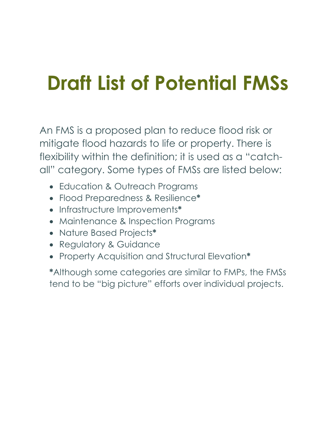# **Draft List of Potential FMSs**

An FMS is a proposed plan to reduce flood risk or mitigate flood hazards to life or property. There is flexibility within the definition; it is used as a "catchall" category. Some types of FMSs are listed below:

- Education & Outreach Programs
- Flood Preparedness & Resilience**\***
- Infrastructure Improvements**\***
- Maintenance & Inspection Programs
- Nature Based Projects**\***
- Regulatory & Guidance
- Property Acquisition and Structural Elevation**\***

**\***Although some categories are similar to FMPs, the FMSs tend to be "big picture" efforts over individual projects.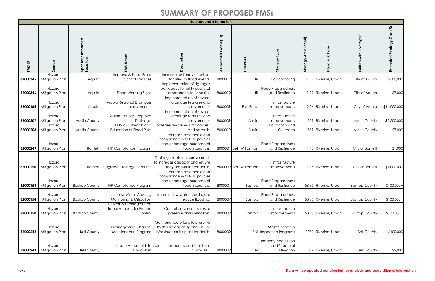|                     |                                      |                                 |                                                                 | <b>Background Information</b>                                                                                           |                                                 |                          |                                                            |                             |                       |                                                      |                              |
|---------------------|--------------------------------------|---------------------------------|-----------------------------------------------------------------|-------------------------------------------------------------------------------------------------------------------------|-------------------------------------------------|--------------------------|------------------------------------------------------------|-----------------------------|-----------------------|------------------------------------------------------|------------------------------|
| $\mathbf{a}$<br>FMS | Source                               | Impacted<br>Sponsor<br>Location | z<br>S<br>혼                                                     | cription                                                                                                                | $\widehat{\mathsf{e}}$<br>Goals<br>ciated<br>SS | Counties                 | Type<br>Strategy                                           | (sqmi)<br><b>d</b><br>Strat | Risk Type<br>Flood    | ersight<br>$\dot{\delta}$<br>with<br><b>Entities</b> | Estimated Strategy Cost (\$) |
|                     | Hazard                               |                                 | Improve & Flood Proof                                           | Increase resiliency of critical<br>facilities to flood events                                                           | 8000012                                         |                          |                                                            |                             |                       |                                                      |                              |
| 82000345            | Mitigation Plan                      | Aquilla                         | <b>Critical Facilities</b>                                      | Implementation of signage/                                                                                              |                                                 | Hill                     | Floodproofing                                              |                             | 1.32 Riverine, Urban  | City of Aquilla                                      | \$500,000                    |
|                     | Hazard<br>82000346 Mitigation Plan   | Aquilla                         | Flood Warning Signs                                             | barricades to notify public of<br>areas prone to flood risk<br>Implementation of several                                | 8000019                                         | Hill                     | <b>Flood Preparedness</b><br>and Resilience                |                             | 1.32 Riverine, Urban  | City of Aquilla                                      | \$7,000                      |
|                     | Hazard                               |                                 | Arcola Regional Drainage                                        | drainage features and                                                                                                   |                                                 |                          | Infrastructure                                             |                             |                       |                                                      |                              |
|                     | 82000164 Mitigation Plan             | Arcola                          | Improvements                                                    | improvements.                                                                                                           | 8000009                                         | Fort Bend                | Improvements                                               |                             | 2.36 Riverine, Urban  | City of Arcola                                       | \$14,000,000                 |
| 82000207            | Hazard<br>Mitigation Plan            | <b>Austin County</b>            | Austin County - Improve<br>Drainage                             | Implementation of several<br>drainage features and<br>improvements                                                      | 8000009                                         | Austin                   | Infrastructure<br>Improvements                             |                             | 511 Riverine, Urban   | <b>Austin County</b>                                 | \$2,500,000                  |
| 82000208            | Hazard<br>Mitigation Plan            | <b>Austin County</b>            | Public Outreach and<br><b>Education of Flood Risks</b>          | Increase awareness of flood risk<br>and hazards.                                                                        | 8000019                                         | Austin                   | Education and<br>Outreach                                  |                             | 511 Riverine, Urban   | <b>Austin County</b>                                 | \$7,000                      |
|                     | Hazard<br>82000249 Mitigation Plan   | <b>Bartlett</b>                 | NFIP Compliance Program                                         | Increase awareness and<br>compliance with NFIP policies<br>and encourage purchase of<br>flood insurance                 |                                                 | 8000001 Bell, Williamson | <b>Flood Preparedness</b><br>and Resilience                |                             | 1.16 Riverine, Urban  | City of Bartlett                                     | \$1,000                      |
|                     | Hazard<br>82000250 Mitigation Plan   | <b>Bartlett</b>                 | Upgrade Drainage Features                                       | Drainage feature improvements<br>to increase capacity and ensure<br>they are within standards<br>Increase awareness and |                                                 | 8000009 Bell, Williamson | Infrastructure<br>Improvements                             |                             | 1.16 Riverine, Urban  | City of Bartlett                                     | \$1,000,000                  |
|                     | Hazard<br>82000153   Mitigation Plan | <b>Bastrop County</b>           | NFIP Compliance Program                                         | compliance with NFIP policies<br>and encourage purchase of<br>flood insurance                                           | 8000001                                         | Bastrop                  | <b>Flood Preparedness</b><br>and Resilience                |                             | 58.95 Riverine, Urban | <b>Bastrop County</b>                                | $$100,000+$                  |
| 82000154            | Hazard<br>Mitigation Plan            | <b>Bastrop County</b>           | Low Water Crossing<br>Monitoring & Mitigation                   | Improve low water crossings to<br>reduce flooding.                                                                      | 8000007                                         | Bastrop                  | <b>Flood Preparedness</b><br>and Resilience                |                             | 58.95 Riverine, Urban | <b>Bastrop County</b>                                | $$100,000+$                  |
|                     | Hazard<br>82000150 Mitigation Plan   | <b>Bastrop County</b>           | Culvert & Drainage Ditch<br>Improvements for Erosion<br>Control | Control erosion of banks to<br>preserve channelization                                                                  | 8000009                                         | Bastrop                  | Infrastructure<br>Improvements                             |                             | 58.95 Riverine, Urban | <b>Bastrop County</b>                                | \$100,000+                   |
| 82000242            | Hazard<br>Mitigation Plan            | <b>Bell County</b>              | Drainage and Channel<br>Maintenance Program                     | Maintenance efforts to preserve<br>hydraulic capacity and ensure<br>infrastructure is up to standards                   | 8000009                                         |                          | Maintenance &<br><b>Bell</b> Inspection Programs           |                             | 1087 Riverine, Urban  | <b>Bell County</b>                                   | \$100,000                    |
| 82000243            | Hazard<br>Mitigation Plan            | <b>Bell County</b>              | Floodplain                                                      | Locate Households in Acquire properties and structures<br>at flood risk.                                                | 8000009                                         | Bell                     | <b>Property Acquisition</b><br>and Structural<br>Elevation |                             | 1087 Riverine, Urban  | <b>Bell County</b>                                   | \$2,000                      |

#### FMS - 1 **Data will be updated pending further analysis and acquisition of information.**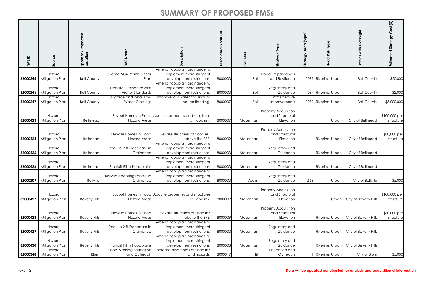| $\mathbf{a}$<br>FMS | Source                    | / Impacted<br>Sponsor /<br>Location | FMS Name                                          | cription                                                                               | Goals (ID)<br>Associated | Counties | Type<br>egy<br>5⊭                                          | (sqmi)<br>Area<br>Strategy | Type<br>Risk<br>$\overline{8}$<br>$\frac{6}{5}$ | ersight<br>O<br>Entiti | $\widehat{\mathfrak{G}}$<br>$\mathbf C$<br>ΘĎ<br>Estin |
|---------------------|---------------------------|-------------------------------------|---------------------------------------------------|----------------------------------------------------------------------------------------|--------------------------|----------|------------------------------------------------------------|----------------------------|-------------------------------------------------|------------------------|--------------------------------------------------------|
| 82000244            | Hazard<br>Mitigation Plan | <b>Bell County</b>                  | Update MS4 Permit 5 Year<br>Plan                  | Amend floodplain ordinance to<br>implement more stringent<br>development restrictions  | 8000003                  | Bell     | <b>Flood Preparedness</b><br>and Resilience                |                            | 1087 Riverine, Urban                            | <b>Bell County</b>     | \$20,000                                               |
| 82000246            | Hazard<br>Mitigation Plan | <b>Bell County</b>                  | Update Ordinance with<br><b>Higher Standards</b>  | Amend floodplain ordinance to<br>implement more stringent<br>development restrictions  | 8000003                  | Bell     | Regulatory and<br>Guidance                                 |                            | 1087 Riverine, Urban                            | <b>Bell County</b>     | \$2,000                                                |
| 82000247            | Hazard<br>Mitigation Plan | <b>Bell County</b>                  | Upgrade and Install Low<br><b>Water Crossings</b> | Improve low water crossings to<br>reduce flooding.                                     | 8000007                  | Bell     | Infrastructure<br>Improvements                             |                            | 1087 Riverine, Urban                            | <b>Bell County</b>     | \$5,000,000                                            |
| 82000423            | Hazard<br>Mitigation Plan | Bellmead                            | <b>Hazard Areas</b>                               | Buyout Homes in Flood Acquire properties and structures<br>at flood risk.              | 8000009                  | McLennan | <b>Property Acquisition</b><br>and Structural<br>Elevation |                            | Urban                                           | City of Bellmead       | \$100,000 per<br>structure                             |
| 82000424            | Hazard<br>Mitigation Plan | Bellmead                            | Elevate Homes in Flood<br><b>Hazard Areas</b>     | Elevate structures at flood risk<br>above the BFE.                                     | 8000009                  | McLennar | <b>Property Acquisition</b><br>and Structural<br>Elevation |                            | Riverine, Urban                                 | City of Bellmead       | \$80,000 per<br>structure                              |
| 82000425            | Hazard<br>Mitigation Plan | Bellmead                            | Require 2-ft Freeboard in<br>Ordinance            | Amend floodplain ordinance to<br>implement more stringent<br>development restrictions  | 8000003                  | McLennar | Regulatory and<br>Guidance                                 |                            | Riverine, Urban                                 | City of Bellmead       |                                                        |
| 82000426            | Hazard<br>Mitigation Plan | Bellmead                            | Prohibit Fill in Floodplains                      | Amend floodplain ordinance to<br>implement more stringent<br>development restrictions. | 8000003                  | McLennar | Regulatory and<br>Guidance                                 |                            | Riverine, Urban                                 | City of Bellmead       |                                                        |
| 82000209            | Hazard<br>Mitigation Plan | <b>Bellville</b>                    | <b>Bellville Adopting Land-Use</b><br>Ordinance   | Amend floodplain ordinance to<br>implement more stringent<br>development restrictions  | 8000003                  | Austin   | Regulatory and<br>Guidance                                 | 2.56                       | Urban                                           | City of Bellville      | \$5,000                                                |
| 82000427            | Hazard<br>Mitigation Plan | <b>Beverly Hills</b>                | <b>Hazard Areas</b>                               | Buyout Homes in Flood Acquire properties and structures<br>at flood risk.              | 8000009                  | McLennan | <b>Property Acquisition</b><br>and Structural<br>Elevation |                            | Urban                                           | City of Beverly Hills  | \$100,000 per<br>structure                             |
| 82000428            | Hazard<br>Mitigation Plan | <b>Beverly Hills</b>                | Elevate Homes in Flood<br><b>Hazard Areas</b>     | Elevate structures at flood risk<br>above the BFE.                                     | 8000009                  | McLennan | <b>Property Acquisition</b><br>and Structural<br>Elevation |                            | Riverine, Urban                                 | City of Beverly Hills  | \$80,000 per<br>structure                              |
| 82000429            | Hazard<br>Mitigation Plan | <b>Beverly Hills</b>                | Require 2-ft Freeboard in<br>Ordinance            | Amend floodplain ordinance to<br>implement more stringent<br>development restrictions. | 8000003                  | McLennan | Regulatory and<br>Guidance                                 |                            | Riverine, Urban                                 | City of Beverly Hills  |                                                        |
| 82000430            | Hazard<br>Mitigation Plan | <b>Beverly Hills</b>                | Prohibit Fill in Floodplains                      | Amend floodplain ordinance to<br>implement more stringent<br>development restrictions. | 8000003                  | McLennar | Regulatory and<br>Guidance                                 |                            | Riverine, Urban                                 | City of Beverly Hills  |                                                        |
| 82000348            | Hazard<br>Mitigation Plan | Blum                                | <b>Flood Warning Education</b><br>and Outreach    | Increase awareness of flood risk<br>and hazards.                                       | 8000019                  | Hill     | Education and<br>Outreach                                  |                            | 1 Riverine, Urban                               | City of Blum           | \$5,000                                                |

#### FMS - 2 **Data will be updated pending further analysis and acquisition of information.**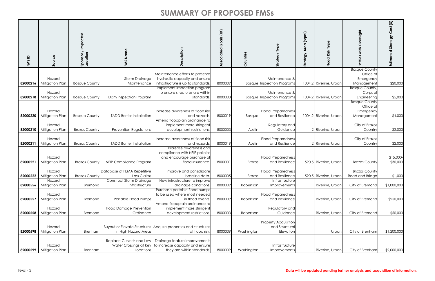| $\mathbf{a}$<br>FMS  | Source                                       | Sponsor / Impacted<br>Location | Name<br>FMS                                                                   | Δ                                                                                                          | Goals (ID)<br>Associated | unties<br>$\overline{O}$<br>Ŭ | Strategy Type                                                 | (sqmi)<br>Area<br>Strategy | Type<br>Risk<br>Flood              | Oversight<br>with<br>Entities                                            | $\mathfrak{S}$<br>Cost<br>Strategy<br>Estimated |
|----------------------|----------------------------------------------|--------------------------------|-------------------------------------------------------------------------------|------------------------------------------------------------------------------------------------------------|--------------------------|-------------------------------|---------------------------------------------------------------|----------------------------|------------------------------------|--------------------------------------------------------------------------|-------------------------------------------------|
| 82000216             | Hazard<br>Mitigation Plan                    | <b>Bosque County</b>           | <b>Storm Drainage</b><br>Maintenance                                          | Maintenance efforts to preserve<br>hydraulic capacity and ensure<br>infrastructure is up to standards.     | 8000009                  |                               | Maintenance &<br><b>Bosque</b> Inspection Programs            |                            | 1004.2 Riverine, Urban             | <b>Bosque County</b><br>Office of<br>Emergency<br>Management             | \$20,000                                        |
| 82000218             | Hazard<br>Mitigation Plan                    | <b>Bosque County</b>           | Dam Inspection Program                                                        | Implement inspection program<br>to ensure structures are within<br>standards.                              | 8000003                  |                               | Maintenance &<br><b>Bosque</b> Inspection Programs            |                            | 1004.2 Riverine, Urban             | <b>Bosque County,</b><br>Corps of<br>Engineering<br><b>Bosque County</b> | \$5,000                                         |
| 82000220             | Hazard<br>Mitigation Plan                    | <b>Bosque County</b>           | <b>TADD Barrier Installation</b>                                              | Increase awareness of flood risk<br>and hazards.                                                           | 8000019                  | Bosque                        | <b>Flood Preparedness</b><br>and Resilience                   |                            | 1004.2 Riverine, Urban             | Office of<br>Emergency<br>Management                                     | \$4,000                                         |
| 82000210             | Hazard<br>Mitigation Plan                    | <b>Brazos Country</b>          | <b>Prevention Regulations</b>                                                 | Amend floodplain ordinance to<br>implement more stringent<br>development restrictions                      | 8000003                  | Austin                        | Regulatory and<br>Guidance                                    |                            | 2 Riverine, Urban                  | City of Brazos<br>Country                                                | \$2,000                                         |
| 82000211             | Hazard<br>Mitigation Plan                    | <b>Brazos Country</b>          | <b>TADD Barrier Installation</b>                                              | Increase awareness of flood risk<br>and hazards.                                                           | 8000019                  | Austin                        | <b>Flood Preparedness</b><br>and Resilience                   |                            | 2 Riverine, Urban                  | City of Brazos<br>Country                                                | \$2,000                                         |
| 82000221             | Hazard<br>Mitigation Plan                    | <b>Brazos County</b>           | NFIP Compliance Program                                                       | Increase awareness and<br>compliance with NFIP policies<br>and encourage purchase of<br>flood insurance.   | 8000001                  | <b>Brazos</b>                 | <b>Flood Preparedness</b><br>and Resilience                   |                            | 590.5 Riverine, Urban              | <b>Brazos County</b>                                                     | $$15,000-$<br>\$30,000                          |
|                      | Hazard<br>82000222 Mitigation Plan<br>Hazard | <b>Brazos County</b>           | Database of FEMA Repetitive<br>Loss Claims<br><b>Construct Storm Drainage</b> | Improve and consolidate<br>baseline data.<br>New infrastructure to improve                                 | 8000005                  | <b>Brazos</b>                 | <b>Flood Preparedness</b><br>and Resilience<br>Infrastructure |                            | 590.5 Riverine, Urban              | <b>Brazos County</b><br>Road and Bridge                                  | \$1,000                                         |
| 82000556             | Mitigation Plan<br>Hazard                    | Bremond                        | Infrastructure                                                                | drainage conditions.<br>Purchase portable flood pumps<br>to be used where most needed                      | 8000009                  | Robertson                     | Improvements<br><b>Flood Preparedness</b>                     |                            | Riverine, Urban                    | City of Bremond                                                          | \$1,000,000                                     |
| 82000557<br>82000558 | Mitigation Plan<br>Hazard<br>Mitigation Plan | Bremond<br>Bremond             | Portable Flood Pumps<br><b>Flood Damage Prevention</b><br>Ordinance           | in flood events.<br>Amend floodplain ordinance to<br>implement more stringent<br>development restrictions. | 8000009<br>8000003       | Robertson<br>Robertson        | and Resilience<br>Regulatory and<br>Guidance                  |                            | Riverine, Urban<br>Riverine, Urban | City of Bremond<br>City of Bremond                                       | \$250,000<br>\$50,000                           |
| 82000598             | Hazard<br>Mitigation Plan                    | Brenham                        | in High Hazard Areas                                                          | Buyout or Elevate Structures Acquire properties and structures<br>at flood risk.                           | 8000009                  | Washington                    | <b>Property Acquisition</b><br>and Structural<br>Elevation    |                            | Urban                              | City of Brenham                                                          | \$1,200,000                                     |
|                      | Hazard<br>82000599   Mitigation Plan         | Brenham                        | Replace Culverts and Low<br>Water Crossings at Key<br>Locations               | Drainage feature improvements<br>to increase capacity and ensure<br>they are within standards.             | 8000009                  | Washington                    | Infrastructure<br>Improvements                                |                            | Riverine, Urban                    | City of Brenham                                                          | \$2,000,000                                     |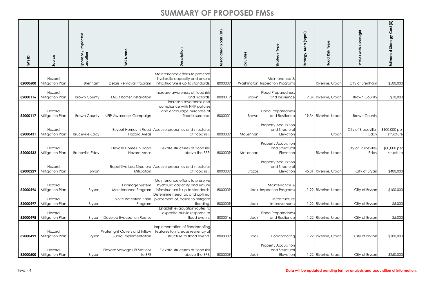| FMS ID   | Source                               | Sponsor / Impacted<br>Location | Name<br>FMS                                          | escription<br>Ō                                                                                          | $\widehat{\Xi}$<br>$rac{1}{\sigma}$<br>O<br>ပ<br>ciated<br>$\circ$ | Counties      | <b>Strategy Type</b>                                       | (sqmi)<br><b>Are</b><br>egy<br>Strat | Risk Type<br>Flood    | Oversight<br>Entities with  | $\mathfrak{S}$<br>Estimated Strategy Cost |
|----------|--------------------------------------|--------------------------------|------------------------------------------------------|----------------------------------------------------------------------------------------------------------|--------------------------------------------------------------------|---------------|------------------------------------------------------------|--------------------------------------|-----------------------|-----------------------------|-------------------------------------------|
| 82000600 | Hazard<br>Mitigation Plan            | <b>Brenham</b>                 | Debris Removal Program                               | Maintenance efforts to preserve<br>hydraulic capacity and ensure<br>infrastructure is up to standards.   | 8000009                                                            |               | Maintenance &<br>Washington Inspection Programs            |                                      | Riverine, Urban       | City of Brenham             | \$500,000                                 |
|          | Hazard<br>82000116 Mitigation Plan   | <b>Brown County</b>            | <b>TADD Barrier Installation</b>                     | Increase awareness of flood risk<br>and hazards                                                          | 8000019                                                            | Brown         | <b>Flood Preparedness</b><br>and Resilience                |                                      | 19.34 Riverine, Urban | <b>Brown County</b>         | \$10,000                                  |
|          | Hazard<br>82000117   Mitigation Plan | <b>Brown County</b>            | NFIP Awareness Campaign                              | Increase awareness and<br>compliance with NFIP policies<br>and encourage purchase of<br>flood insurance. | 8000001                                                            | Brown         | <b>Flood Preparedness</b><br>and Resilience                |                                      | 19.34 Riverine, Urban | <b>Brown County</b>         |                                           |
| 82000431 | Hazard<br>Mitigation Plan            | Bruceville-Eddy                | <b>Hazard Areas</b>                                  | Buyout Homes in Flood Acquire properties and structures<br>at flood risk.                                | 8000009                                                            | McLennan      | <b>Property Acquisition</b><br>and Structural<br>Elevation |                                      | Urban                 | City of Bruceville-<br>Eddy | \$100,000 per<br>structure                |
|          | Hazard<br>82000432   Mitigation Plan | <b>Bruceville-Eddy</b>         | Elevate Homes in Flood<br><b>Hazard Areas</b>        | Elevate structures at flood risk<br>above the BFE.                                                       | 8000009                                                            | McLennan      | <b>Property Acquisition</b><br>and Structural<br>Elevation |                                      | Riverine, Urban       | City of Bruceville-<br>Eddy | \$80,000 per<br>structure                 |
| 82000229 | Hazard<br>Mitigation Plan            | Bryan                          | Mitigation                                           | Repetitive Loss Structure Acquire properties and structures<br>at flood risk.                            | 8000009                                                            | <b>Brazos</b> | <b>Property Acquisition</b><br>and Structural<br>Elevation |                                      | 45.31 Riverine, Urban | City of Bryan               | \$400,000                                 |
| 82000496 | Hazard<br>Mitigation Plan            | Bryson                         | Drainage System<br>Maintenance Program               | Maintenance efforts to preserve<br>hydraulic capacity and ensure<br>infrastructure is up to standards.   | 8000009                                                            |               | Maintenance &<br>Jack Inspection Programs                  |                                      | 1.22 Riverine, Urban  | City of Bryson              | \$100,000                                 |
| 82000497 | Hazard<br>Mitigation Plan            | Bryson                         | On-Site Retention Basin<br>Program                   | Determine need for, and optimal<br>placement of, basins to mitigate<br>flooding.                         | 8000009                                                            | Jack          | Infrastructure<br>Improvements                             |                                      | 1.22 Riverine, Urban  | City of Bryson              | \$5,000                                   |
|          | Hazard<br>82000498 Mitigation Plan   | Bryson                         | <b>Develop Evacuation Routes</b>                     | Establish evacuation routes to<br>expedite public response to<br>flood events.                           | 8000016                                                            | Jack          | <b>Flood Preparedness</b><br>and Resilience                |                                      | 1.22 Riverine, Urban  | City of Bryson              | \$5,000                                   |
|          | Hazard<br>82000499 Mitigation Plan   | Bryson                         | Watertight Covers and Inflow<br>Guard Implementation | Implementation of floodproofing<br>features to increase resiliency of<br>structure to flood events       | 8000009                                                            | Jack          | Floodproofing                                              |                                      | 1.22 Riverine, Urban  | City of Bryson              | \$100,000                                 |
|          | Hazard<br>82000500 Mitigation Plan   | Bryson                         | Elevate Sewage Lift Stations<br>to BFE               | Elevate structures at flood risk<br>above the BFE.                                                       | 8000009                                                            | Jack          | <b>Property Acquisition</b><br>and Structural<br>Elevation |                                      | 1.22 Riverine, Urban  | City of Bryson              | \$250,000                                 |

#### FMS - 4 **Data will be updated pending further analysis and acquisition of information.**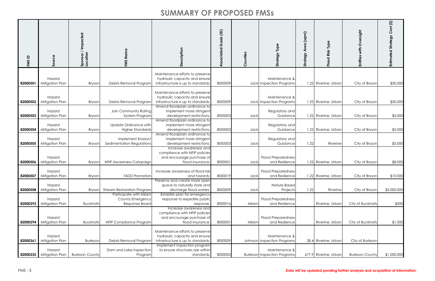| $\mathbf{a}$<br>FMS  | Source                                       | Sponsor / Impacted<br>Location | FMS Name                                                           | cription<br>Δ                                                                                                                                                       | Goals (ID)<br>Associated | unties<br>$\overline{O}$<br>Ŭ | Strategy Type                                               | (sqmi)<br>Area<br>Strategy | Type<br>od Risk<br>$\frac{5}{2}$             | Oversight<br>with<br><b>Entities</b> | $\mathfrak{S}$<br>Cost<br>Strategy<br>Estimated |
|----------------------|----------------------------------------------|--------------------------------|--------------------------------------------------------------------|---------------------------------------------------------------------------------------------------------------------------------------------------------------------|--------------------------|-------------------------------|-------------------------------------------------------------|----------------------------|----------------------------------------------|--------------------------------------|-------------------------------------------------|
| 82000501             | Hazard<br>Mitigation Plan                    | Bryson                         | Debris Removal Program                                             | Maintenance efforts to preserve<br>hydraulic capacity and ensure<br>infrastructure is up to standards.                                                              | 8000009                  |                               | Maintenance &<br>Jack Inspection Programs                   |                            | 1.22 Riverine, Urban                         | City of Bryson                       | \$50,000                                        |
| 82000502             | Hazard<br>Mitigation Plan<br>Hazard          | Bryson                         | Debris Removal Program<br>Join Community Rating                    | Maintenance efforts to preserve<br>hydraulic capacity and ensure<br>infrastructure is up to standards.<br>Amend floodplain ordinance to<br>implement more stringent | 8000009                  |                               | Maintenance &<br>Jack Inspection Programs<br>Regulatory and |                            | 1.22 Riverine, Urban                         | City of Bryson                       | \$50,000                                        |
| 82000503<br>82000504 | Mitigation Plan<br>Hazard<br>Mitigation Plan | Bryson<br>Bryson               | System Program<br>Update Ordinance with<br><b>Higher Standards</b> | development restrictions.<br>Amend floodplain ordinance to<br>implement more stringent<br>development restrictions.<br>Amend floodplain ordinance to                | 8000003<br>8000003       | Jack<br>Jack                  | Guidance<br>Regulatory and<br>Guidance                      |                            | 1.22 Riverine, Urban<br>1.22 Riverine, Urban | City of Bryson<br>City of Bryson     | \$5,000<br>\$5,000                              |
| 82000505             | Hazard<br>Mitigation Plan                    | Bryson                         | Implement Erosion/<br>Sedimentation Regulations                    | implement more stringent<br>development restrictions.<br>Increase awareness and                                                                                     | 8000003                  | Jack                          | Regulatory and<br>Guidance                                  | 1.22                       | Riverine                                     | City of Bryson                       | \$5,000                                         |
| 82000506             | Hazard<br>Mitigation Plan                    | Bryson                         | NFIP Awareness Campaign                                            | compliance with NFIP policies<br>and encourage purchase of<br>flood insurance.                                                                                      | 8000001                  | Jack                          | <b>Flood Preparedness</b><br>and Resilience                 |                            | 1.22 Riverine, Urban                         | City of Bryson                       | \$8,000                                         |
|                      | Hazard<br>82000507   Mitigation Plan         | <b>Bryson</b>                  | <b>TADD Promotion</b>                                              | Increase awareness of flood risk<br>and hazards.<br>Preserve and create more open                                                                                   | 8000019                  | Jack                          | <b>Flood Preparedness</b><br>and Resilience                 |                            | .22 Riverine, Urban                          | City of Bryson                       | \$10,000                                        |
| 82000508             | Hazard<br>Mitigation Plan                    | Bryson                         | <b>Stream Restoration Program</b><br>Participate with Milam        | space to naturally store and<br>discharge flood waters.<br>Establish plan for emergency                                                                             | 8000009                  | Jack                          | Nature Based<br>Projects                                    | 1.22                       | Riverine                                     | City of Bryson                       | \$3,000,000                                     |
| 82000293             | Hazard<br>Mitigation Plan                    | <b>Buckholts</b>               | <b>County Emergency</b><br>Response Board                          | response to expedite public<br>response.<br>Increase awareness and                                                                                                  | 8000016                  | Milam                         | <b>Flood Preparedness</b><br>and Resilience                 |                            | Riverine, Urban                              | City of Buckholts                    | \$500                                           |
| 82000294             | Hazard<br>Mitigation Plan                    | <b>Buckholts</b>               | NFIP Compliance Program                                            | compliance with NFIP policies<br>and encourage purchase of<br>flood insurance.                                                                                      | 8000001                  | Milam                         | <b>Flood Preparedness</b><br>and Resilience                 |                            | Riverine, Urban                              | City of Buckholts                    | \$1,000                                         |
| 82000361             | Hazard<br>Mitigation Plan                    | <b>Burleson</b>                | Debris Removal Program                                             | Maintenance efforts to preserve<br>hydraulic capacity and ensure<br>infrastructure is up to standards.                                                              | 8000009                  |                               | Maintenance &<br>Johnson Inspection Programs                |                            | 28.4 Riverine, Urban                         | City of Burleson                     |                                                 |
| 82000235             | Hazard<br>Mitigation Plan                    | <b>Burleson County</b>         | Dam and Lake Inspection<br>Program                                 | Implement inspection program<br>to ensure structures are within<br>standards.                                                                                       | 8000003                  |                               | Maintenance &<br><b>Burleson Inspection Programs</b>        |                            | 677.9 Riverine, Urban                        | <b>Burleson County</b>               | \$1,000,000                                     |

#### FMS - 5 **Data will be updated pending further analysis and acquisition of information.**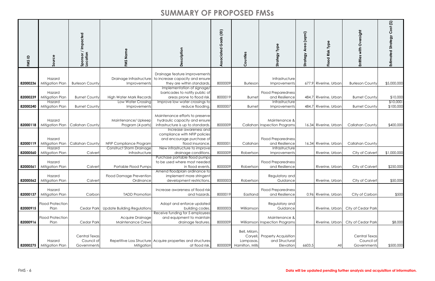| FMS ID   | Source                                                | Impacted<br>Sponsor /<br>Location          | Name<br>FMS                                                | escription<br>≏                                                                                                                                                  | $\widehat{\Xi}$<br>oals<br>Ô<br>ciated<br>$\circ$ | Counties                                                        | Strategy Type                                                        | (sqmi)<br>ە<br>4<br>ູດ<br>Strat | <b>Flood Risk Type</b>             | Oversight<br>Entities with                 | $\widehat{\mathfrak{S}}$<br><b>Estimated Strategy Cost</b> |
|----------|-------------------------------------------------------|--------------------------------------------|------------------------------------------------------------|------------------------------------------------------------------------------------------------------------------------------------------------------------------|---------------------------------------------------|-----------------------------------------------------------------|----------------------------------------------------------------------|---------------------------------|------------------------------------|--------------------------------------------|------------------------------------------------------------|
| 82000236 | Hazard<br>Mitigation Plan                             | <b>Burleson County</b>                     | Drainage Infrastructure<br>Improvements                    | Drainage feature improvements<br>to increase capacity and ensure<br>they are within standards.                                                                   | 8000009                                           | <b>Burleson</b>                                                 | Infrastructure<br>Improvements                                       |                                 | 677.9 Riverine, Urban              | <b>Burleson County</b>                     | \$5,000,000                                                |
| 82000239 | Hazard<br>Mitigation Plan<br>Hazard                   | <b>Burnet County</b>                       | High Water Mark Records<br><b>Low Water Crossing</b>       | Implementation of signage/<br>barricades to notify public of<br>areas prone to flood risk<br>Improve low water crossings to                                      | 8000019                                           | <b>Burnet</b>                                                   | <b>Flood Preparedness</b><br>and Resilience<br>Infrastructure        |                                 | 484.7 Riverine, Urban              | <b>Burnet County</b>                       | \$10,000<br>$$10,000-$                                     |
| 82000240 | Mitigation Plan                                       | <b>Burnet County</b>                       | Improvements                                               | reduce flooding.                                                                                                                                                 | 8000007                                           | <b>Burnet</b>                                                   | Improvements                                                         |                                 | 484.7 Riverine, Urban              | <b>Burnet County</b>                       | \$100,000                                                  |
|          | Hazard<br>82000118 Mitigation Plan                    | Callahan County                            | Maintenance/Upkeep<br>Program (4 parts)                    | Maintenance efforts to preserve<br>hydraulic capacity and ensure<br>infrastructure is up to standards<br>Increase awareness and<br>compliance with NFIP policies | 8000009                                           |                                                                 | Maintenance &<br>Callahan Inspection Program                         |                                 | 16.34 Riverine, Urban              | Callahan County                            | \$400,000                                                  |
|          | Hazard<br>82000119 Mitigation Plan<br>Hazard          | <b>Callahan County</b>                     | NFIP Compliance Program<br><b>Construct Storm Drainage</b> | and encourage purchase of<br>flood insurance<br>New infrastructure to improve                                                                                    | 8000001                                           | Callahan                                                        | <b>Flood Preparedness</b><br>and Resilience<br><b>Infrastructure</b> |                                 | 16.34 Riverine, Urban              | <b>Callahan County</b>                     |                                                            |
| 82000561 | 82000560 Mitigation Plan<br>Hazard<br>Mitigation Plan | Calvert<br>Calvert                         | Infrastructure<br>Portable Flood Pumps                     | drainage conditions<br>Purchase portable flood pumps<br>to be used where most needed<br>in flood events                                                          | 8000009<br>8000009                                | Robertson<br>Robertson                                          | Improvement<br><b>Flood Preparedness</b><br>and Resilience           |                                 | Riverine, Urban<br>Riverine, Urban | City of Calvert<br>City of Calvert         | \$1,000,000<br>\$250,000                                   |
| 82000562 | Hazard<br>Mitigation Plan                             | Calvert                                    | Flood Damage Prevention<br>Ordinance                       | Amend floodplain ordinance to<br>implement more stringent<br>development restrictions                                                                            | 8000003                                           | Robertson                                                       | Regulatory and<br>Guidance                                           |                                 | Riverine, Urban                    | City of Calvert                            | \$50,000                                                   |
| 82000137 | Hazard<br>Mitigation Plan                             | Carbon                                     | <b>TADD Promotion</b>                                      | Increase awareness of flood risk<br>and hazards.                                                                                                                 | 8000019                                           | Eastland                                                        | <b>Flood Preparedness</b><br>and Resilience                          |                                 | 0.96 Riverine, Urban               | City of Carbor                             | \$500                                                      |
| 82000915 | <b>Flood Protection</b><br>Plan                       | <b>Cedar Park</b>                          | Update Building Regulations                                | Adopt and enforce updated<br>building codes.                                                                                                                     | 8000003                                           | Williamson                                                      | Regulatory and<br>Guidance                                           |                                 | Riverine, Urbar                    | City of Cedar Park                         |                                                            |
| 82000916 | <b>Flood Protection</b><br>Plan                       | Cedar Park                                 | Acquire Drainage<br>Maintenance Crews                      | Receive funding for 5 employees<br>and equipment to maintain<br>drainage features.                                                                               | 8000009                                           |                                                                 | Maintenance &<br>Williamson Inspection Programs                      |                                 | Riverine, Urban                    | City of Cedar Park                         | \$8,000                                                    |
|          | Hazard<br>82000275   Mitigation Plan                  | Central Texas<br>Council of<br>Governments | Mitigation                                                 | Repetitive Loss Structure Acquire properties and structures<br>at flood risk.                                                                                    |                                                   | Bell, Milam<br>Coryell,<br>Lampasas,<br>8000009 Hamilton, Mills | <b>Property Acquisition</b><br>and Structural<br>Elevation           | 6603.5                          | All                                | Central Texas<br>Council of<br>Governments | \$500,000                                                  |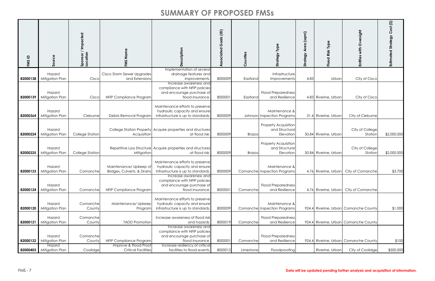| FMS ID   | Source                    | Sponsor / Impacted<br>Location | FMS Name                                              | cription                                                                                                                         | Goals (ID)<br>Associated | Counties      | Strategy Type                                              | (sqmi)<br>Area<br>Strategy | Typ<br>Flood Risk     | rersight<br>ò<br>with<br><b>Entities</b> | $\mathfrak{S}$<br>$\mathbf C$<br>Strategy<br>Estimate |
|----------|---------------------------|--------------------------------|-------------------------------------------------------|----------------------------------------------------------------------------------------------------------------------------------|--------------------------|---------------|------------------------------------------------------------|----------------------------|-----------------------|------------------------------------------|-------------------------------------------------------|
|          | Hazard                    |                                | Cisco Storm Sewer Upgrades                            | Implementation of several<br>drainage features and                                                                               |                          |               | Infrastructure                                             |                            |                       |                                          |                                                       |
| 82000138 | Mitigation Plan           | Cisco                          | and Extensions                                        | improvements                                                                                                                     | 8000009                  | Eastland      | Improvements                                               | 4.83                       | Urban                 | City of Cisco                            |                                                       |
| 82000139 | Hazard<br>Mitigation Plan | Cisco                          | NFIP Compliance Program                               | Increase awareness and<br>compliance with NFIP policies<br>and encourage purchase of<br>flood insurance.                         | 8000001                  | Eastland      | <b>Flood Preparedness</b><br>and Resilience                |                            | 4.83 Riverine, Urban  | City of Cisco                            |                                                       |
| 82000364 | Hazard<br>Mitigation Plan | Cleburne                       | Debris Removal Program                                | Maintenance efforts to preserve<br>hydraulic capacity and ensure<br>infrastructure is up to standards.                           | 8000009                  |               | Maintenance &<br>Johnson Inspection Programs               |                            | 31.4 Riverine, Urban  | City of Cleburne                         |                                                       |
| 82000224 | Hazard<br>Mitigation Plan | College Station                | Acquisition                                           | College Station Property Acquire properties and structures<br>at flood risk                                                      | 8000009                  | <b>Brazos</b> | <b>Property Acquisition</b><br>and Structural<br>Elevation |                            | 50.84 Riverine, Urban | City of College<br>Station               | \$2,000,000                                           |
| 82000225 | Hazard<br>Mitigation Plan | College Station                | Mitigation                                            | Repetitive Loss Structure Acquire properties and structures<br>at flood risk.                                                    | 8000009                  | <b>Brazos</b> | <b>Property Acquisition</b><br>and Structural<br>Elevation |                            | 50.84 Riverine, Urban | City of College<br>Station               | \$2,000,000                                           |
| 82000123 | Hazard<br>Mitigation Plan | Comanche                       | Maintenance/ Upkeep of<br>Bridges, Culverts, & Drains | Maintenance efforts to preserve<br>hydraulic capacity and ensure<br>infrastructure is up to standards.<br>Increase awareness and | 8000009                  |               | Maintenance &<br>Comanche Inspection Programs              |                            | 4.76 Riverine, Urban  | City of Comanche                         | \$3,700                                               |
| 82000124 | Hazard<br>Mitigation Plan | Comanche                       | NFIP Compliance Program                               | compliance with NFIP policies<br>and encourage purchase of<br>flood insurance.                                                   | 8000001                  | Comanche      | <b>Flood Preparedness</b><br>and Resilience                |                            | 4.76 Riverine, Urban  | City of Comanche                         |                                                       |
| 82000120 | Hazard<br>Mitigation Plan | Comanche<br>County             | Maintenance/Upkeep<br>Program                         | Maintenance efforts to preserve<br>hydraulic capacity and ensure<br>infrastructure is up to standards.                           | 8000009                  |               | Maintenance &<br>Comanche Inspection Programs              |                            |                       | 924.4 Riverine, Urban Comanche County    | \$1,000                                               |
| 82000121 | Hazard<br>Mitigation Plan | Comanche<br>County             | <b>TADD Promotion</b>                                 | Increase awareness of flood risk<br>and hazards.                                                                                 | 8000019                  | Comanche      | <b>Flood Preparedness</b><br>and Resilience                |                            |                       | 924.4 Riverine, Urban Comanche County    |                                                       |
| 82000122 | Hazard<br>Mitigation Plan | Comanche<br>County             | NFIP Compliance Program                               | Increase awareness and<br>compliance with NFIP policies<br>and encourage purchase of<br>flood insurance.                         | 8000001                  | Comanche      | <b>Flood Preparedness</b><br>and Resilience                |                            |                       | 924.4 Riverine, Urban Comanche County    | \$100                                                 |
| 82000403 | Hazard<br>Mitigation Plan | Coolidge                       | Improve & Flood Proof<br><b>Critical Facilities</b>   | Increase resiliency of critical<br>facilities to flood events.                                                                   | 8000012                  | Limestone     | Floodproofing                                              |                            | Riverine, Urban       | City of Coolidge                         | \$500,000                                             |

#### FMS - 7 **Data will be updated pending further analysis and acquisition of information.**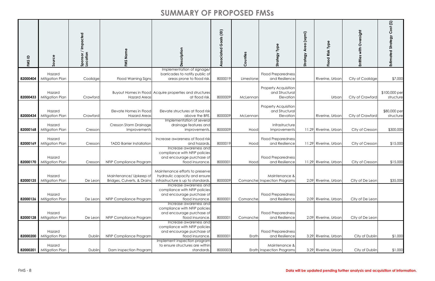| <b>FMSID</b> | Source                    | Sponsor / Impacted<br>Location | FMS Name                                              | cription<br>$\Omega$                                                                                     | Goals (ID)<br>Associated | Counties  | Type<br>egy<br>Stra                                        | (sqmi)<br>Area<br>Strategy | Type<br>Risk<br>$\overline{8}$<br>$\frac{6}{5}$ | ersight<br>O<br>with<br>Entities | $\mathfrak{S}$<br>bst<br>$\mathbf C$<br>ΘĎ<br>Estimate |
|--------------|---------------------------|--------------------------------|-------------------------------------------------------|----------------------------------------------------------------------------------------------------------|--------------------------|-----------|------------------------------------------------------------|----------------------------|-------------------------------------------------|----------------------------------|--------------------------------------------------------|
| 82000404     | Hazard<br>Mitigation Plan | Coolidge                       | Flood Warning Signs                                   | Implementation of signage/<br>barricades to notify public of<br>areas prone to flood risk.               | 8000019                  | Limestone | <b>Flood Preparedness</b><br>and Resilience                |                            | Riverine, Urban                                 | City of Coolidge                 | \$7,000                                                |
| 82000433     | Hazard<br>Mitigation Plan | Crawford                       | <b>Hazard Areas</b>                                   | Buyout Homes in Flood Acquire properties and structures<br>at flood risk.                                | 8000009                  | McLennan  | <b>Property Acquisition</b><br>and Structural<br>Elevation |                            | Urban                                           | City of Crawford                 | \$100,000 per<br>structure                             |
| 82000434     | Hazard<br>Mitigation Plan | Crawford                       | Elevate Homes in Flood<br><b>Hazard Areas</b>         | Elevate structures at flood risk<br>above the BFE.                                                       | 8000009                  | McLennar  | <b>Property Acquisition</b><br>and Structural<br>Elevation |                            | Riverine, Urban                                 | City of Crawford                 | \$80,000 per<br>structure                              |
| 82000168     | Hazard<br>Mitigation Plan | Cresson                        | Cresson Storm Drainage<br>Improvements                | Implementation of several<br>drainage features and<br>improvements                                       | 8000009                  | Hood      | Infrastructure<br>Improvements                             |                            | 11.29 Riverine, Urban                           | City of Cresson                  | \$300,000                                              |
| 82000169     | Hazard<br>Mitigation Plan | Cresson                        | <b>TADD Barrier Installation</b>                      | Increase awareness of flood risk<br>and hazards.                                                         | 8000019                  | Hood      | <b>Flood Preparedness</b><br>and Resilience                |                            | 11.29 Riverine, Urban                           | City of Cresson                  | \$15,000                                               |
| 82000170     | Hazard<br>Mitigation Plan | Cresson                        | NFIP Compliance Program                               | Increase awareness and<br>compliance with NFIP policies<br>and encourage purchase of<br>flood insurance. | 8000001                  | Hood      | <b>Flood Preparedness</b><br>and Resilience                |                            | 11.29 Riverine, Urban                           | City of Cresson                  | \$15,000                                               |
| 82000125     | Hazard<br>Mitigation Plan | De Leor                        | Maintenance/ Upkeep of<br>Bridges, Culverts, & Drains | Maintenance efforts to preserve<br>hydraulic capacity and ensure<br>infrastructure is up to standards.   | 8000009                  |           | Maintenance &<br>Comanche Inspection Programs              |                            | 2.09 Riverine, Urban                            | City of De Leon                  | \$35,000                                               |
| 82000126     | Hazard<br>Mitigation Plan | De Leon                        | NFIP Compliance Program                               | Increase awareness and<br>compliance with NFIP policies<br>and encourage purchase of<br>flood insurance. | 8000001                  | Comanche  | <b>Flood Preparedness</b><br>and Resilience                |                            | 2.09 Riverine, Urban                            | City of De Leon                  |                                                        |
| 82000128     | Hazard<br>Mitigation Plan | De Leon                        | NFIP Compliance Program                               | Increase awareness and<br>compliance with NFIP policies<br>and encourage purchase of<br>flood insurance. | 8000001                  | Comanche  | <b>Flood Preparedness</b><br>and Resilience                |                            | 2.09 Riverine, Urban                            | City of De Leon                  |                                                        |
| 82000200     | Hazard<br>Mitigation Plan | Dublin                         | NFIP Compliance Program                               | Increase awareness and<br>compliance with NFIP policies<br>and encourage purchase of<br>flood insurance. | 8000001                  | Erath     | <b>Flood Preparedness</b><br>and Resilience                |                            | 3.29 Riverine, Urban                            | City of Dublin                   | \$1,000                                                |
| 82000201     | Hazard<br>Mitigation Plan | Dublin                         | Dam Inspection Program                                | Implement inspection program<br>to ensure structures are within<br>standards.                            | 8000003                  |           | Maintenance &<br>Erath Inspection Programs                 |                            | 3.29 Riverine, Urban                            | City of Dublin                   | \$1,000                                                |

#### FMS - 8 **Data will be updated pending further analysis and acquisition of information.**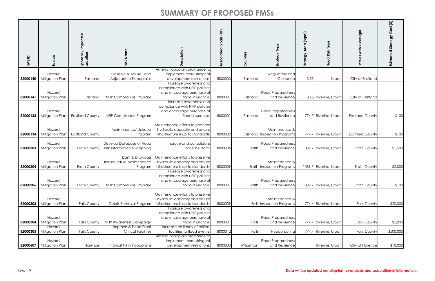| FMS ID   | Source                    | / Impacted<br>Sponsor /<br>Location | Name<br>FMS                                             | cription                                                                                                 | $\widehat{e}$<br>$rac{1}{\sqrt{2}}$<br>$\circ$<br>ပ<br>ciated<br>$\circ$<br>⋖ | Counties   | <b>Strategy Type</b>                              | (sqmi)<br>ە<br>ج<br>egy<br><b>Strat</b> | Risk Type<br>$\overline{8}$<br>운 | Oversight<br>Entities with | $\overline{\mathfrak{S}}$<br><b>Estimated Strategy Cost</b> |
|----------|---------------------------|-------------------------------------|---------------------------------------------------------|----------------------------------------------------------------------------------------------------------|-------------------------------------------------------------------------------|------------|---------------------------------------------------|-----------------------------------------|----------------------------------|----------------------------|-------------------------------------------------------------|
|          | Hazard                    |                                     | Preserve & Aquire Land                                  | Amend floodplain ordinance to<br>implement more stringent                                                |                                                                               |            | Regulatory and                                    |                                         |                                  |                            |                                                             |
| 82000140 | Mitigation Plan           | Eastland                            | Adjacent to Floodplains                                 | development restrictions.<br>Increase awareness and                                                      | 8000003                                                                       | Eastland   | Guidance                                          | 3.55                                    | Urban                            | City of Eastland           |                                                             |
| 82000141 | Hazard<br>Mitigation Plan | Eastland                            | NFIP Compliance Program                                 | compliance with NFIP policies<br>and encourage purchase of<br>flood insurance.<br>Increase awareness and | 8000001                                                                       | Eastland   | <b>Flood Preparedness</b><br>and Resilience       |                                         | 3.55 Riverine, Urban             | City of Eastland           |                                                             |
| 82000133 | Hazard<br>Mitigation Plan | <b>Eastland County</b>              | NFIP Compliance Program                                 | compliance with NFIP policies<br>and encourage purchase of<br>flood insurance.                           | 8000001                                                                       | Eastlanc   | <b>Flood Preparedness</b><br>and Resilience       |                                         | 774.7 Riverine, Urbar            | <b>Eastland County</b>     | \$100                                                       |
| 82000134 | Hazard<br>Mitigation Plan | <b>Eastland County</b>              | Maintenance/Upkeep<br>Program                           | Maintenance efforts to preserve<br>hydraulic capacity and ensure<br>infrastructure is up to standards.   | 8000009                                                                       |            | Maintenance &<br>Eastland Inspection Programs     |                                         | 774.7 Riverine, Urban            | <b>Eastland County</b>     | \$100                                                       |
| 82000203 | Hazard<br>Mitigation Plan | <b>Erath County</b>                 | Develop Database of Flood<br>Risk Information & Mapping | Improve and consolidate<br>baseline data.                                                                | 8000005                                                                       | Erath      | <b>Flood Preparedness</b><br>and Resilience       |                                         | 1089.7 Riverine, Urban           | <b>Erath County</b>        | \$1,500                                                     |
| 82000204 | Hazard<br>Mitigation Plan | Erath County                        | Dam & Drainage<br>Infrastructure Maintenance<br>Program | Maintenance efforts to preserve<br>hydraulic capacity and ensure<br>infrastructure is up to standards.   | 8000009                                                                       |            | Maintenance &<br>Erath Inspection Programs        |                                         | 1089.7 Riverine, Urbar           | Erath County               | \$2,000                                                     |
| 82000206 | Hazard<br>Mitigation Plan | <b>Erath County</b>                 | NFIP Compliance Program                                 | Increase awareness and<br>compliance with NFIP policies<br>and encourage purchase of<br>flood insurance. | 8000001                                                                       | Erath      | <b>Flood Preparedness</b><br>and Resilience       |                                         | 1089.7 Riverine, Urban           | <b>Erath County</b>        | \$100                                                       |
| 82000303 | Hazard<br>Mitigation Plan | <b>Falls County</b>                 | Debris Removal Program                                  | Maintenance efforts to preserve<br>hydraulic capacity and ensure<br>infrastructure is up to standards.   | 8000009                                                                       |            | Maintenance &<br><b>Falls Inspection Programs</b> |                                         | 774.4 Riverine, Urban            | <b>Falls County</b>        | \$20,000                                                    |
| 82000304 | Hazard<br>Mitigation Plan | <b>Falls County</b>                 | NFIP Awareness Campaign                                 | Increase awareness and<br>compliance with NFIP policies<br>and encourage purchase of<br>flood insurance. | 8000001                                                                       | Falls      | <b>Flood Preparedness</b><br>and Resilience       |                                         | 774.4 Riverine, Urban            | <b>Falls County</b>        | \$5,000                                                     |
|          | Hazard                    |                                     | Improve & Flood Proof                                   | Increase resiliency of critical                                                                          |                                                                               |            |                                                   |                                         |                                  |                            |                                                             |
| 82000305 | Mitigation Plan           | <b>Falls County</b>                 | <b>Critical Facilities</b>                              | facilities to flood events                                                                               | 8000012                                                                       | Falls      | Floodproofing                                     |                                         | 774.4 Riverine, Urban            | <b>Falls County</b>        | \$500,000                                                   |
| 82000607 | Hazard<br>Mitigation Plan | Florence                            | Prohibit Fill in Floodplains                            | Amend floodplain ordinance to<br>implement more stringent<br>development restrictions.                   | 8000003                                                                       | Williamson | <b>Flood Preparedness</b><br>and Resilience       |                                         | Riverine, Urban                  | City of Florence           | \$10,000                                                    |

#### FMS - 9 **Data will be updated pending further analysis and acquisition of information.**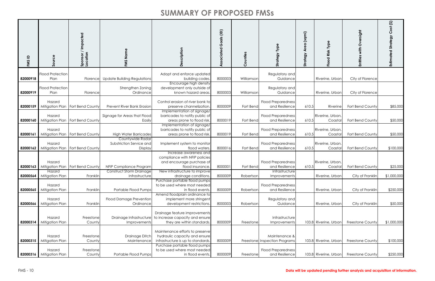| FMS ID   | Source                               | / Impacted<br>Sponsor /<br>Location           | Name<br>FMS                                             | Δ                                                                                                                                       | Goals (ID)<br>Associated | Counties   | Tур<br>egy<br>$\ddot{5}$                       | (sqmi)<br>Area<br>Strategy | <b>DVD</b><br>Risk<br>$\overline{8}$<br>$\frac{8}{2}$ | ersight<br>Entiti | $\overline{\mathfrak{S}}$<br>Estim |
|----------|--------------------------------------|-----------------------------------------------|---------------------------------------------------------|-----------------------------------------------------------------------------------------------------------------------------------------|--------------------------|------------|------------------------------------------------|----------------------------|-------------------------------------------------------|-------------------|------------------------------------|
| 82000918 | <b>Flood Protection</b><br>Plan      | Florence                                      | <b>Update Building Regulations</b>                      | Adopt and enforce updated<br>building codes.                                                                                            | 8000003                  | Williamson | Regulatory and<br>Guidance                     |                            | Riverine, Urban                                       | City of Florence  |                                    |
| 82000919 | <b>Flood Protection</b><br>Plan      | Florence                                      | Strengthen Zoning<br>Ordinance                          | Encourage high density<br>development only outside of<br>known hazard areas.                                                            | 8000003                  | Williamson | Regulatory and<br>Guidance                     |                            | Riverine, Urban                                       | City of Florence  |                                    |
| 82000159 | Hazard                               | Mitigation Plan   Fort Bend County            | <b>Prevent River Bank Erosion</b>                       | Control erosion of river bank to<br>preserve channelization.                                                                            | 8000009                  | Fort Bend  | <b>Flood Preparedness</b><br>and Resilience    | 610.5                      | Riverine                                              | Fort Bend County  | \$85,000                           |
| 82000160 | Hazard                               | Mitigation Plan   Fort Bend County            | Signage for Areas that Flood<br>Easily                  | Implementation of signage/<br>barricades to notify public of<br>areas prone to flood risk.                                              | 8000019                  | Fort Bend  | <b>Flood Preparedness</b><br>and Resilience    | 610.5                      | Riverine, Urban,<br>Coastal                           | Fort Bend County  | \$50,000                           |
| 82000161 | Hazard                               | Mitigation Plan   Fort Bend County            | <b>High Water Barricades</b>                            | Implementation of signage/<br>barricades to notify public of<br>areas prone to flood risk.                                              | 8000019                  | Fort Bend  | <b>Flood Preparedness</b><br>and Resilience    | 610.5                      | Riverine, Urban,<br>Coastal                           | Fort Bend County  | \$50,000                           |
| 82000162 | Hazard                               | Mitigation Plan   Fort Bend County            | Countywide Radar<br>Substriction Service and<br>Display | Implement system to monitor<br>flood waters.                                                                                            | 8000016                  | Fort Bend  | <b>Flood Preparedness</b><br>and Resilience    | 610.5                      | Riverine, Urban,<br>Coastal                           | Fort Bend County  | \$100,000                          |
|          | Hazard                               | 82000163   Mitigation Plan   Fort Bend County | NFIP Compliance Program                                 | Increase awareness and<br>compliance with NFIP policies<br>and encourage purchase of<br>flood insurance.                                | 8000001                  | Fort Bend  | <b>Flood Preparedness</b><br>and Resilience    | 610.5                      | Riverine, Urban,<br>Coastal                           | Fort Bend County  | \$25,000                           |
|          | Hazard<br>82000564   Mitigation Plan | Franklin                                      | <b>Construct Storm Drainage</b><br>Infrastructure       | New infrastructure to improve<br>drainage conditions.                                                                                   | 8000009                  | Robertson  | Infrastructure<br>Improvements                 |                            | Riverine, Urban                                       | City of Franklin  | \$1,000,000                        |
| 82000565 | Hazard<br>Mitigation Plan            | Franklin                                      | Portable Flood Pumps                                    | Purchase portable flood pumps<br>to be used where most needed<br>in flood events.                                                       | 8000009                  | Robertson  | <b>Flood Preparedness</b><br>and Resilience    |                            | Riverine, Urban                                       | City of Franklin  | \$250,000                          |
| 82000566 | Hazard<br>Mitigation Plan            | Franklin                                      | <b>Flood Damage Prevention</b><br>Ordinance             | Amend floodplain ordinance to<br>implement more stringent<br>development restrictions.                                                  | 8000003                  | Robertson  | Regulatory and<br>Guidance                     |                            | Riverine, Urban                                       | City of Franklin  | \$50,000                           |
| 82000314 | Hazard<br>Mitigation Plan            | Freestone<br>County                           | Drainage Infrastructure<br>Improvements                 | Drainage feature improvements<br>to increase capacity and ensure<br>they are within standards.                                          | 8000009                  | Freestone  | Infrastructure<br>Improvements                 |                            | 103.8 Riverine, Urban                                 | Freestone County  | \$1,000,000                        |
| 82000315 | Hazard<br>Mitigation Plan            | Freestone<br>County                           | Drainage Ditch<br>Maintenance                           | Maintenance efforts to preserve<br>hydraulic capacity and ensure<br>infrastructure is up to standards.<br>Purchase portable flood pumps | 8000009                  |            | Maintenance &<br>Freestone Inspection Programs |                            | 103.8 Riverine, Urban                                 | Freestone County  | \$100,000                          |
| 82000316 | Hazard<br>Mitigation Plan            | Freestone<br>County                           | Portable Flood Pumps                                    | to be used where most needed<br>in flood events.                                                                                        | 8000009                  | Freestone  | <b>Flood Preparedness</b><br>and Resilience    |                            | 103.8 Riverine, Urban                                 | Freestone County  | \$250,000                          |

### FMS - 10 **Data will be updated pending further analysis and acquisition of information.**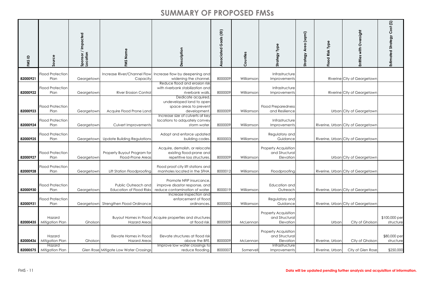| FMS ID   | Source                               | Sponsor / Impacted<br>Location | FMS Name                                               | escription<br>$\Omega$                                                                       | Goals (ID)<br>Associated | Counties   | Type<br>egy<br>Strat                                       | (sqmi)<br>Area<br><b>Strategy</b> | Typ<br>Risk<br>Flood | ersight<br>O<br>with<br>Entities   | $\mathfrak{S}$<br>Cost<br><b>Abap</b><br><b>Estimate</b> |
|----------|--------------------------------------|--------------------------------|--------------------------------------------------------|----------------------------------------------------------------------------------------------|--------------------------|------------|------------------------------------------------------------|-----------------------------------|----------------------|------------------------------------|----------------------------------------------------------|
| 82000921 | <b>Flood Protection</b><br>Plan      | Georgetown                     | Capacity                                               | Increase River/Channel Flow Increase flow by deepening and<br>widening the channel.          | 8000009                  | Williamson | Infrastructure<br>Improvements                             |                                   |                      | Riverine City of Georgetown        |                                                          |
| 82000922 | <b>Flood Protection</b><br>Plan      | Georgetown                     | <b>River Erosion Control</b>                           | Reduce flood and erosion risk<br>with riverbank stabilization and<br>riverbank walls.        | 8000009                  | Williamson | Infrastructure<br>Improvements                             |                                   |                      | Riverine City of Georgetown        |                                                          |
| 82000923 | <b>Flood Protection</b><br>Plan      | Georgetown                     | Acquire Flood Prone Land                               | Dedicate acquired,<br>undeveloped land to open<br>space areas to prevent<br>development.     | 8000009                  | Williamson | <b>Flood Preparedness</b><br>and Resilience                |                                   |                      | Urban City of Georgetown           |                                                          |
| 82000924 | <b>Flood Protection</b><br>Plan      | Georgetown                     | Culvert Improvements                                   | Increase size of culverts at key<br>locations to adquately convey<br>storm water.            | 8000009                  | Williamson | Infrastructure<br>Improvements                             |                                   |                      | Riverine, Urban City of Georgetown |                                                          |
| 82000925 | <b>Flood Protection</b><br>Plan      | Georgetown                     | <b>Update Building Regulations</b>                     | Adopt and enforce updated<br>building codes.                                                 | 8000003                  | Williamson | Regulatory and<br>Guidance                                 |                                   |                      | Riverine, Urban City of Georgetown |                                                          |
| 82000927 | <b>Flood Protection</b><br>Plan      | Georgetown                     | Property Buyout Program for<br>Flood-Prone Areas       | Acquire, demolish, or relocate<br>existing flood-prone and<br>repetitive loss structures.    | 8000009                  | Williamson | <b>Property Acquisition</b><br>and Structural<br>Elevation |                                   |                      | Urban City of Georgetown           |                                                          |
| 82000928 | <b>Flood Protection</b><br>Plan      | Georgetown                     | Lift Station Floodproofing                             | Flood proof city lift stations and<br>manholes located in the SFHA.                          | 8000012                  | Williamson | Floodproofing                                              |                                   |                      | Riverine, Urban City of Georgetown |                                                          |
| 82000930 | <b>Flood Protection</b><br>Plan      | Georgetown                     | Public Outreach and<br><b>Education of Flood Risks</b> | Promote NFIP insurcance,<br>improve disastor response, and<br>reduce contamination of water. | 8000019                  | Williamson | Education and<br>Outreach                                  |                                   |                      | Riverine, Urban City of Georgetown |                                                          |
| 82000931 | <b>Flood Protection</b><br>Plan      | Georgetown                     | Strengthen Flood Ordinance                             | Increase inspection and<br>enforcement of flood<br>ordinances.                               | 8000003                  | Williamson | Regulatory and<br>Guidance                                 |                                   |                      | Riverine, Urban City of Georgetown |                                                          |
| 82000435 | Hazard<br>Mitigation Plan            | Gholson                        | <b>Hazard Areas</b>                                    | Buyout Homes in Flood Acquire properties and structures<br>at flood risk.                    | 8000009                  | McLennan   | <b>Property Acquisition</b><br>and Structural<br>Elevation |                                   | Urban                | City of Gholson                    | \$100,000 per<br>structure                               |
| 82000436 | Hazard<br>Mitigation Plan            | Gholson                        | Elevate Homes in Flood<br><b>Hazard Areas</b>          | Elevate structures at flood risk<br>above the BFE.                                           | 8000009                  | McLennan   | <b>Property Acquisition</b><br>and Structural<br>Elevation |                                   | Riverine, Urban      | City of Gholson                    | \$80,000 per<br>structure                                |
|          | Hazard<br>82000575   Mitigation Plan |                                | Glen Rose Mitigate Low Water Crossings                 | Improve low water crossings to<br>reduce flooding.                                           | 8000007                  | Somervell  | Infrastructure<br>Improvements                             |                                   | Riverine, Urban      | City of Glen Rose                  | \$250,000                                                |

### FMS - 11 **Data will be updated pending further analysis and acquisition of information.**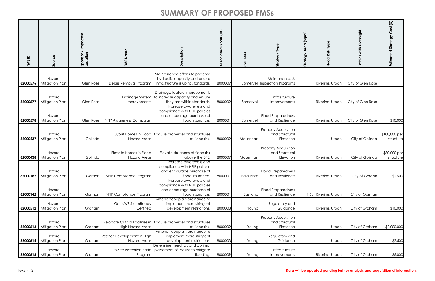| FMS ID   | Source                               | Sponsor / Impacted<br>Location | FMS Name                                            | cription<br>$\Omega$                                                                                                      | Goals (ID)<br>Associated | Counties   | ĪУP<br>egy<br><b>Stra</b>                                  | (sqmi)<br>Area<br>Strategy | Type<br>od Risk<br>$\frac{6}{5}$ | ersight<br>O<br>with<br>Entities | $\widehat{\mathfrak{G}}$<br>$\mathbf C$<br>ଚ<br>ବ<br>Estimate |
|----------|--------------------------------------|--------------------------------|-----------------------------------------------------|---------------------------------------------------------------------------------------------------------------------------|--------------------------|------------|------------------------------------------------------------|----------------------------|----------------------------------|----------------------------------|---------------------------------------------------------------|
| 82000576 | Hazard<br>Mitigation Plan            | Glen Rose                      | Debris Removal Program                              | Maintenance efforts to preserve<br>hydraulic capacity and ensure<br>infrastructure is up to standards.                    | 8000009                  |            | Maintenance &<br>Somervell Inspection Programs             |                            | Riverine, Urban                  | City of Glen Rose                |                                                               |
| 82000577 | Hazard<br>Mitigation Plan            | Glen Rose                      | Drainage System<br>Improvements                     | Drainage feature improvements<br>to increase capacity and ensure<br>they are within standards.                            | 8000009                  | Somervell  | Infrastructure<br>Improvements                             |                            | Riverine, Urban                  | City of Glen Rose                |                                                               |
| 82000578 | Hazard<br>Mitigation Plan            | Glen Rose                      | NFIP Awareness Campaign                             | Increase awareness and<br>compliance with NFIP policies<br>and encourage purchase of<br>flood insurance.                  | 8000001                  | Somervell  | <b>Flood Preparedness</b><br>and Resilience                |                            | Riverine, Urban                  | City of Glen Rose                | \$10,000                                                      |
| 82000437 | Hazard<br>Mitigation Plan            | Golinda                        | <b>Hazard Areas</b>                                 | Buyout Homes in Flood Acquire properties and structures<br>at flood risk.                                                 | 8000009                  | McLennan   | <b>Property Acquisition</b><br>and Structural<br>Elevation |                            | Urban                            | City of Golinda                  | \$100,000 per<br>structure                                    |
| 82000438 | Hazard<br>Mitigation Plan            | Golinda                        | Elevate Homes in Flood<br><b>Hazard Areas</b>       | Elevate structures at flood risk<br>above the BFE.                                                                        | 8000009                  | McLennan   | <b>Property Acquisition</b><br>and Structural<br>Elevation |                            | Riverine, Urban                  | City of Golinda                  | \$80,000 per<br>structure                                     |
|          | Hazard<br>82000182   Mitigation Plan | Gordon                         | NFIP Compliance Program                             | Increase awareness and<br>compliance with NFIP policies<br>and encourage purchase of<br>flood insurance.                  | 8000001                  | Palo Pinto | <b>Flood Preparedness</b><br>and Resilience                |                            | Riverine, Urban                  | City of Gordon                   | \$2,500                                                       |
| 82000142 | Hazard<br>Mitigation Plan            | Gorman                         | NFIP Compliance Program                             | Increase awareness and<br>compliance with NFIP policies<br>and encourage purchase of<br>flood insurance.                  | 8000001                  | Eastland   | <b>Flood Preparedness</b><br>and Resilience                |                            | 1.58 Riverine, Urban             | City of Gorman                   |                                                               |
| 82000512 | Hazard<br>Mitigation Plan            | Graham                         | Get NWS StormReady<br>Certified                     | Amend floodplain ordinance to<br>implement more stringent<br>development restrictions.                                    | 8000003                  | Young      | Regulatory and<br>Guidance                                 |                            | Riverine, Urban                  | City of Graham                   | \$10,000                                                      |
|          | Hazard<br>82000513   Mitigation Plan | Graham                         | High Hazard Areas                                   | Relocate Critical Facilities in Acquire properties and structures<br>at flood risk.                                       | 8000009                  | Young      | <b>Property Acquisition</b><br>and Structural<br>Elevation |                            | Urban                            | City of Graham                   | \$2,000,000                                                   |
| 82000514 | Hazard<br>Mitigation Plan            | Graham                         | Restrict Development in High<br><b>Hazard Areas</b> | Amend floodplain ordinance to<br>implement more stringent<br>development restrictions.<br>Determine need for, and optimal | 8000003                  | Young      | Regulatory and<br>Guidance                                 |                            | Urban                            | City of Graham                   | \$2,500                                                       |
|          | Hazard<br>82000515   Mitigation Plan | Graham                         | On-Site Retention Basin<br>Program                  | placement of, basins to mitigate<br>flooding.                                                                             | 8000009                  | Young      | Infrastructure<br>Improvements                             |                            | Riverine, Urban                  | City of Graham                   | \$5,000                                                       |

#### FMS - 12 **Data will be updated pending further analysis and acquisition of information.**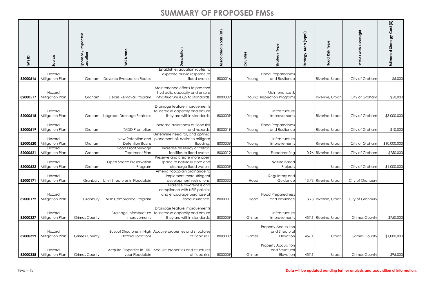| FMS ID   | Source                    | Sponsor / Impacted<br>Location | FMS Name                                           | cription                                                                                                 | <b>Associated Goals (ID)</b> | Counties | Strategy Type                                              | (sqmi)<br>Area<br>Strategy | Typ<br>Risk<br>Flood  | Oversight<br>Entities with | $\mathfrak{S}$<br>Cost<br>Strategy<br>Estimated |
|----------|---------------------------|--------------------------------|----------------------------------------------------|----------------------------------------------------------------------------------------------------------|------------------------------|----------|------------------------------------------------------------|----------------------------|-----------------------|----------------------------|-------------------------------------------------|
| 82000516 | Hazard<br>Mitigation Plan | Graham                         | <b>Develop Evacuation Routes</b>                   | Establish evacuation routes to<br>expedite public response to<br>flood events                            | 8000016                      | Young    | <b>Flood Preparedness</b><br>and Resilience                |                            | Riverine, Urban       | City of Graham             | \$5,000                                         |
| 82000517 | Hazard<br>Mitigation Plan | Graham                         | Debris Removal Program                             | Maintenance efforts to preserve<br>hydraulic capacity and ensure<br>infrastructure is up to standards.   | 8000009                      |          | Maintenance &<br>Young Inspection Programs                 |                            | Riverine, Urban       | City of Graham             | \$50,000                                        |
| 82000518 | Hazard<br>Mitigation Plan | Graham                         | Upgrade Drainage Features                          | Drainage feature improvements<br>to increase capacity and ensure<br>they are within standards.           | 8000009                      | Young    | Infrastructure<br>Improvements                             |                            | Riverine, Urban       | City of Graham             | \$3,000,000                                     |
| 82000519 | Hazard<br>Mitigation Plan | Graham                         | <b>TADD Promotion</b>                              | Increase awareness of flood risk<br>and hazards.                                                         | 8000019                      | Young    | <b>Flood Preparedness</b><br>and Resilience                |                            | Riverine, Urban       | City of Graham             | \$10,000                                        |
| 82000520 | Hazard<br>Mitigation Plan | Graham                         | New Retention and<br><b>Detention Basins</b>       | Determine need for, and optimal<br>placement of, basins to mitigate<br>flooding.                         | 8000009                      | Young    | Infrastructure<br>Improvements                             |                            | Riverine, Urban       | City of Graham             | \$10,000,000                                    |
| 82000521 | Hazard<br>Mitigation Plan | Graham                         | <b>Flood Proof Sewage</b><br><b>Treatment Plan</b> | Increase resiliency of critical<br>facilities to flood events.                                           | 8000012                      | Young    | Floodproofing                                              |                            | 0.96 Riverine, Urban  | City of Graham             | \$250,000                                       |
| 82000522 | Hazard<br>Mitigation Plan | Graham                         | Open Space Preservation<br>Program                 | Preserve and create more open<br>space to naturally store and<br>discharge flood waters.                 | 8000009                      | Young    | Nature Based<br>Projects                                   |                            | Urban                 | City of Graham             | \$1,000,000                                     |
| 82000171 | Hazard<br>Mitigation Plan | Granbury                       | Limit Structures in Floodplain                     | Amend floodplain ordinance to<br>implement more stringent<br>development restrictions                    | 8000003                      | Hood     | Regulatory and<br>Guidance                                 |                            | 13.73 Riverine, Urban | City of Granbury           |                                                 |
| 82000172 | Hazard<br>Mitigation Plan | Granbury                       | NFIP Compliance Program                            | Increase awareness and<br>compliance with NFIP policies<br>and encourage purchase of<br>flood insurance. | 8000001                      | Hood     | <b>Flood Preparedness</b><br>and Resilience                |                            | 13.73 Riverine, Urban | City of Granbury           |                                                 |
| 82000327 | Hazard<br>Mitigation Plan | <b>Grimes County</b>           | Drainage Infrastructure<br>Improvements            | Drainage feature improvements<br>to increase capacity and ensure<br>they are within standards.           | 8000009                      | Grimes   | Infrastructure<br>Improvements                             |                            | 457.1 Riverine, Urban | <b>Grimes County</b>       | \$750,000                                       |
| 82000329 | Hazard<br>Mitigation Plan | <b>Grimes County</b>           | <b>Hazard Locations</b>                            | Buyout Structures in High Acquire properties and structures<br>at flood risk.                            | 8000009                      | Grimes   | <b>Property Acquisition</b><br>and Structural<br>Elevation | 457.1                      | Urban                 | <b>Grimes County</b>       | \$1,000,000                                     |
| 82000338 | Hazard<br>Mitigation Plan | <b>Grimes County</b>           | year Floodplain                                    | Acquire Properties in 100- Acquire properties and structures<br>at flood risk.                           | 8000009                      | Grimes   | <b>Property Acquisition</b><br>and Structural<br>Elevation | 457.1                      | Urban                 | <b>Grimes County</b>       | \$95,000                                        |

### FMS - 13 **Data will be updated pending further analysis and acquisition of information.**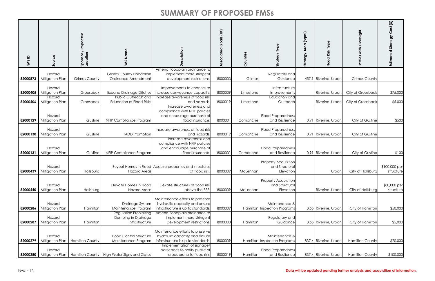| $\mathbf{a}$<br>FMS | Source                             | Sponsor / Impacted<br>Location | Name<br>FMS                                                             | cription                                                                                                                                | $\widehat{e}$<br>$\frac{2}{5}$<br>$\circ$<br>O<br>$\sigma$<br>ciate<br>$\circ$<br>◀ | Counties  | Type<br>Strategy                                           | (sqmi)<br><b>Are</b><br>egy<br>Strat | Type<br>Risk<br>უ<br>ბ<br>운 | Oversight<br>with<br><b>Entities</b> | $\mathfrak{S}$<br>Cost<br>Estimated Strategy |
|---------------------|------------------------------------|--------------------------------|-------------------------------------------------------------------------|-----------------------------------------------------------------------------------------------------------------------------------------|-------------------------------------------------------------------------------------|-----------|------------------------------------------------------------|--------------------------------------|-----------------------------|--------------------------------------|----------------------------------------------|
|                     |                                    |                                |                                                                         | Amend floodplain ordinance to                                                                                                           |                                                                                     |           |                                                            |                                      |                             |                                      |                                              |
| 82000873            | Hazard<br>Mitigation Plan          | <b>Grimes County</b>           | <b>Grimes County Floodplain</b><br>Ordinance Amendment                  | implement more stringent<br>development restrictions                                                                                    | 8000003                                                                             | Grimes    | Regulatory and<br>Guidance                                 |                                      | 457.1 Riverine, Urban       | <b>Grimes County</b>                 |                                              |
|                     |                                    |                                |                                                                         |                                                                                                                                         |                                                                                     |           |                                                            |                                      |                             |                                      |                                              |
|                     | Hazard                             |                                |                                                                         | Improvements to channel to                                                                                                              |                                                                                     |           | Infrastructure                                             |                                      |                             |                                      |                                              |
| 82000405            | Mitigation Plan<br>Hazard          | Groesbeck                      | <b>Expand Drainage Ditches</b><br>Public Outreach and                   | increase conveyance capacity<br>Increase awareness of flood risk                                                                        | 8000009                                                                             | Limestone | Improvements<br>Education and                              |                                      | Riverine, Urbar             | City of Groesbeck                    | \$75,000                                     |
| 82000406            | Mitigation Plan                    | Groesbeck                      | <b>Education of Flood Risks</b>                                         | and hazards                                                                                                                             | 8000019                                                                             | Limestone | Outreach                                                   |                                      | Riverine, Urbar             | City of Groesbeck                    | \$5,000                                      |
| 82000129            | Hazard<br>Mitigation Plan          | Gustine                        | NFIP Compliance Program                                                 | Increase awareness and<br>compliance with NFIP policies<br>and encourage purchase of<br>flood insurance.                                | 8000001                                                                             | Comanche  | <b>Flood Preparedness</b><br>and Resilience                |                                      | 0.91 Riverine, Urban        | City of Gustine                      | \$500                                        |
| 82000130            | Hazard<br>Mitigation Plan          | Gustine                        | <b>TADD Promotion</b>                                                   | Increase awareness of flood risk<br>and hazards.                                                                                        | 8000019                                                                             | Comanche  | <b>Flood Preparedness</b><br>and Resilience                |                                      | 0.91 Riverine, Urban        | City of Gustine                      |                                              |
|                     | Hazard<br>82000131 Mitigation Plan | Gustine                        | NFIP Compliance Program                                                 | Increase awareness and<br>compliance with NFIP policies<br>and encourage purchase of<br>flood insurance.                                | 8000001                                                                             | Comanche  | <b>Flood Preparedness</b><br>and Resilience                |                                      | 0.91 Riverine, Urban        | City of Gustine                      | \$100                                        |
| 82000439            | Hazard<br>Mitigation Plan          | Hallsburg                      | <b>Hazard Areas</b>                                                     | Buyout Homes in Flood Acquire properties and structures<br>at flood risk                                                                | 8000009                                                                             | McLennar  | <b>Property Acquisition</b><br>and Structural<br>Elevation |                                      | Urban                       | City of Hallsburg                    | \$100,000 per<br>structure                   |
| 82000440            | Hazard<br>Mitigation Plan          | Hallsburg                      | Elevate Homes in Flood<br><b>Hazard Areas</b>                           | Elevate structures at flood risk<br>above the BFE.                                                                                      | 8000009                                                                             | McLennan  | <b>Property Acquisition</b><br>and Structural<br>Elevation |                                      | Riverine, Urban             | City of Hallsburg                    | \$80,000 per<br>structure                    |
| 82000286            | Hazard<br>Mitigation Plan          | Hamilton                       | Drainage System<br>Maintenance Program<br><b>Regulation Prohibiting</b> | Maintenance efforts to preserve<br>hydraulic capacity and ensure<br>infrastructure is up to standards.<br>Amend floodplain ordinance to | 8000009                                                                             |           | Maintenance &<br>Hamilton Inspection Programs              |                                      | 3.55 Riverine, Urbar        | City of Hamilton                     | \$50,000                                     |
| 82000287            | Hazard<br>Mitigation Plan          | Hamilton                       | Dumping in Drainage<br>Infrastructure                                   | implement more stringent<br>development restrictions.                                                                                   | 8000003                                                                             | Hamilton  | Regulatory and<br>Guidance                                 |                                      | 3.55 Riverine, Urban        | City of Hamilton                     | \$5,000                                      |
| 82000279            | Hazard<br>Mitigation Plan          | <b>Hamilton County</b>         | <b>Flood Control Structure</b><br>Maintenance Program                   | Maintenance efforts to preserve<br>hydraulic capacity and ensure<br>infrastructure is up to standards.<br>Implementation of signage/    | 8000009                                                                             |           | Maintenance &<br>Hamilton Inspection Programs              |                                      | 837.4 Riverine, Urban       | <b>Hamilton County</b>               | \$20,000                                     |
| 82000280            | Hazard<br>Mitigation Plan          |                                | Hamilton County High Water Signs and Gates                              | barricades to notify public of<br>areas prone to flood risk.                                                                            | 8000019                                                                             | Hamilton  | <b>Flood Preparedness</b><br>and Resilience                |                                      | 837.4 Riverine, Urban       | <b>Hamilton County</b>               | \$100,000                                    |

### FMS - 14 **Data will be updated pending further analysis and acquisition of information.**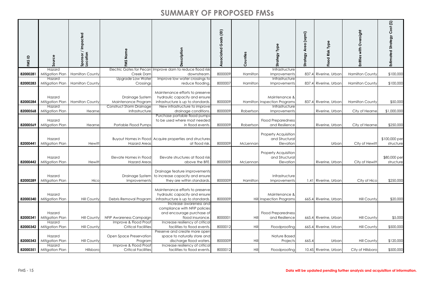| FMS ID   | Source                              | Sponsor / Impacted<br>Location    | FMS Nam                                                                   |                                                                                                                                         | Goals (ID)<br>Associated | Counties  | ĪУP<br>egy<br>ळ                                                 | (sqmi)<br>Area<br>Strategy | Typ<br>Risk<br>$\overline{8}$<br>$\frac{6}{5}$ | ersight<br>O<br>Entiti | $\widehat{\mathfrak{G}}$<br>$\mathbf C$<br>ଚ<br>ବ<br>Esti |
|----------|-------------------------------------|-----------------------------------|---------------------------------------------------------------------------|-----------------------------------------------------------------------------------------------------------------------------------------|--------------------------|-----------|-----------------------------------------------------------------|----------------------------|------------------------------------------------|------------------------|-----------------------------------------------------------|
| 82000281 | Hazard<br>Mitigation Plan           | <b>Hamilton County</b>            | <b>Creek Dam</b>                                                          | Electric Gates for Pecan Improve dam to reduce flood risk<br>downstream                                                                 | 8000009                  | Hamilton  | Infrastructure<br>Improvements                                  |                            | 837.4 Riverine, Urban                          | <b>Hamilton County</b> | \$100,000                                                 |
|          | Hazard                              |                                   | <b>Upgrade Low Water</b>                                                  | Improve low water crossings to                                                                                                          |                          |           | Infrastructure                                                  |                            |                                                |                        |                                                           |
| 82000283 |                                     | Mitigation Plan   Hamilton County | Crossings                                                                 | reduce flooding.                                                                                                                        | 8000007                  | Hamilton  | Improvements                                                    |                            | 837.4 Riverine, Urban                          | <b>Hamilton County</b> | \$100,000                                                 |
| 82000284 | Hazard<br>Mitigation Plan<br>Hazard | <b>Hamilton County</b>            | Drainage System<br>Maintenance Program<br><b>Construct Storm Drainage</b> | Maintenance efforts to preserve<br>hydraulic capacity and ensure<br>infrastructure is up to standards.<br>New infrastructure to improve | 8000009                  |           | Maintenance &<br>Hamilton Inspection Programs<br>Infrastructure |                            | 837.4 Riverine, Urban                          | <b>Hamilton County</b> | \$50,000                                                  |
| 82000568 | Mitigation Plan                     | Hearne                            | Infrastructure                                                            | drainage conditions.                                                                                                                    | 8000009                  | Robertson | Improvements                                                    |                            | Riverine, Urban                                | City of Hearne         | \$1,000,000                                               |
| 82000569 | Hazard<br>Mitigation Plan           | Hearne                            | Portable Flood Pumps                                                      | Purchase portable flood pumps<br>to be used where most needed<br>in flood events.                                                       | 8000009                  | Robertson | <b>Flood Preparedness</b><br>and Resilience                     |                            | Riverine, Urban                                | City of Hearne         | \$250,000                                                 |
| 82000441 | Hazard<br>Mitigation Plan           | Hewitt                            | <b>Hazard Areas</b>                                                       | Buyout Homes in Flood Acquire properties and structures<br>at flood risk.                                                               | 8000009                  | McLennan  | <b>Property Acquisition</b><br>and Structural<br>Elevation      |                            | Urban                                          | City of Hewitt         | \$100,000 per<br>structure                                |
| 82000442 | Hazard<br>Mitigation Plan           | Hewitt                            | Elevate Homes in Flood<br><b>Hazard Areas</b>                             | Elevate structures at flood risk<br>above the BFE.                                                                                      | 8000009                  | McLennan  | <b>Property Acquisition</b><br>and Structural<br>Elevation      |                            | Riverine, Urban                                | City of Hewitt         | \$80,000 per<br>structure                                 |
| 82000289 | Hazard<br>Mitigation Plan           | Hico                              | Improvements                                                              | Drainage feature improvements<br>Drainage System to increase capacity and ensure<br>they are within standards.                          | 8000009                  | Hamilton  | Infrastructure<br>Improvements                                  |                            | 1.41 Riverine, Urban                           | City of Hico           | \$250,000                                                 |
| 82000340 | Hazard<br>Mitigation Plan           | <b>Hill County</b>                | Debris Removal Program                                                    | Maintenance efforts to preserve<br>hydraulic capacity and ensure<br>infrastructure is up to standards.<br>Increase awareness and        | 8000009                  |           | Maintenance &<br>Hill Inspection Programs                       |                            | 665.4 Riverine, Urban                          | <b>Hill County</b>     | \$20,000                                                  |
| 82000341 | Hazard<br>Mitigation Plan           | <b>Hill County</b>                | NFIP Awareness Campaign                                                   | compliance with NFIP policies<br>and encourage purchase of<br>flood insurance.                                                          | 8000001                  | Hill      | <b>Flood Preparedness</b><br>and Resilience                     |                            | 665.4 Riverine, Urban                          | <b>Hill County</b>     | \$5,000                                                   |
| 82000342 | Hazard<br>Mitigation Plan           | <b>Hill County</b>                | Improve & Flood Proof<br><b>Critical Facilities</b>                       | Increase resiliency of critical<br>facilities to flood events.                                                                          | 8000012                  | Hill      | Floodproofing                                                   |                            | 665.4 Riverine, Urban                          | <b>Hill County</b>     | \$500,000                                                 |
| 82000343 | Hazard<br>Mitigation Plan<br>Hazard | <b>Hill County</b>                | Open Space Preservation<br>Program<br>Improve & Flood Proof               | Preserve and create more open<br>space to naturally store and<br>discharge flood waters.<br>Increase resiliency of critical             | 8000009                  | Hill      | Nature Based<br>Projects                                        | 665.4                      | Urban                                          | <b>Hill County</b>     | \$120,000                                                 |
|          | 82000351   Mitigation Plan          | Hillsboro                         | <b>Critical Facilities</b>                                                | facilities to flood events.                                                                                                             | 8000012                  | Hill      | Floodproofing                                                   |                            | 10.45 Riverine, Urban                          | City of Hillsboro      | \$500,000                                                 |

### FMS - 15 **Data will be updated pending further analysis and acquisition of information.**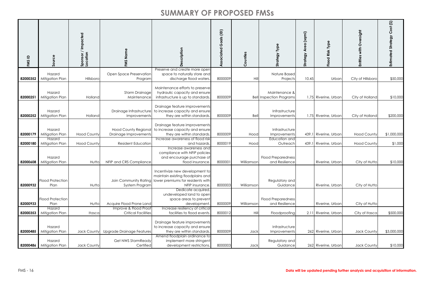| FMS ID   | Source                              | Sponsor / Impacted<br>Location | FMS Nam                                              | scription                                                                                                                                         | Goals (ID)<br>Associated | ounties<br>Ŭ | Strategy Type                                    | (sqmi)<br>Area<br>Strategy | Type<br>Risk<br>$\overline{Q}$<br>운 | with Oversight<br><b>Entities</b> | Cost (5)<br>Estimated Strategy |
|----------|-------------------------------------|--------------------------------|------------------------------------------------------|---------------------------------------------------------------------------------------------------------------------------------------------------|--------------------------|--------------|--------------------------------------------------|----------------------------|-------------------------------------|-----------------------------------|--------------------------------|
| 82000352 | Hazard<br>Mitigation Plan           | Hillsboro                      | Open Space Preservation<br>Program                   | Preserve and create more open<br>space to naturally store and<br>discharge flood waters.                                                          | 8000009                  | Hill         | Nature Based<br>Projects                         | 10.45                      | Urban                               | City of Hillsboro                 | \$50,000                       |
| 82000251 | Hazard<br>Mitigation Plan           | Holland                        | <b>Storm Drainage</b><br>Maintenance                 | Maintenance efforts to preserve<br>hydraulic capacity and ensure<br>infrastructure is up to standards.                                            | 8000009                  |              | Maintenance &<br><b>Bell Inspection Programs</b> |                            | 1.75 Riverine, Urban                | City of Holland                   | \$10,000                       |
| 82000252 | Hazard<br>Mitigation Plan           | Holland                        | Drainage Infrastructure<br>Improvements              | Drainage feature improvements<br>to increase capacity and ensure<br>they are within standards.                                                    | 8000009                  | Bell         | Infrastructure<br>Improvements                   |                            | 1.75 Riverine, Urban                | City of Holland                   | \$200,000                      |
| 82000179 | Hazard<br>Mitigation Plan<br>Hazard | <b>Hood County</b>             | <b>Hood County Regional</b><br>Drainage Improvements | Drainage feature improvements<br>to increase capacity and ensure<br>they are within standards.<br>Increase awareness of flood risk                | 8000009                  | Hood         | Infrastructure<br>Improvements<br>Education and  |                            | 439.1 Riverine, Urban               | <b>Hood County</b>                | \$1,000,000                    |
| 82000180 | Mitigation Plan                     | <b>Hood County</b>             | <b>Resident Education</b>                            | and hazards.                                                                                                                                      | 8000019                  | Hood         | Outreach                                         |                            | 439.1 Riverine, Urban               | <b>Hood County</b>                | \$1,000                        |
| 82000608 | Hazard<br>Mitigation Plan           | Hutto                          | NFIP and CRS Compliance                              | Increase awareness and<br>compliance with NFIP policies<br>and encourage purchase of<br>flood insurance.                                          | 8000001                  | Williamson   | <b>Flood Preparedness</b><br>and Resilience      |                            | Riverine, Urban                     | City of Hutto                     | \$10,000                       |
| 82000932 | <b>Flood Protection</b><br>Plan     | Hutto                          | System Program                                       | Incentivize new development to<br>maintain existing floodplains and<br>Join Community Rating lower premiums for residents with<br>NFIP insurance. | 8000003                  | Williamson   | Regulatory and<br>Guidance                       |                            | Riverine, Urban                     | City of Hutto                     |                                |
| 82000933 | Flood Protection<br>Plan            | Hutto                          | Acquire Flood Prone Land                             | Dedicate acquired,<br>undeveloped land to open<br>space areas to prevent<br>development.                                                          | 8000009                  | Williamson   | <b>Flood Preparedness</b><br>and Resilience      |                            | Riverine, Urban                     | City of Hutto                     |                                |
| 82000353 | Hazard<br>Mitigation Plan           | Itasca                         | Improve & Flood Proof<br><b>Critical Facilities</b>  | Increase resiliency of critical<br>facilities to flood events.                                                                                    | 8000012                  | Hill         | Floodproofing                                    |                            | 2.11 Riverine, Urban                | City of Itasca                    | \$500,000                      |
| 82000485 | Hazard<br>Mitigation Plan           | Jack County                    | Upgrade Drainage Features                            | Drainage feature improvements<br>to increase capacity and ensure<br>they are within standards.<br>Amend floodplain ordinance to                   | 8000009                  | Jack         | Infrastructure<br>Improvements                   |                            | 262 Riverine, Urban                 | Jack County                       | \$3,000,000                    |
| 82000486 | Hazard<br>Mitigation Plan           | Jack County                    | Get NWS StormReady<br>Certified                      | implement more stringent<br>development restrictions.                                                                                             | 8000003                  | Jack         | Regulatory and<br>Guidance                       |                            | 262 Riverine, Urban                 | Jack County                       | \$10,000                       |

### FMS - 16 **Data will be updated pending further analysis and acquisition of information.**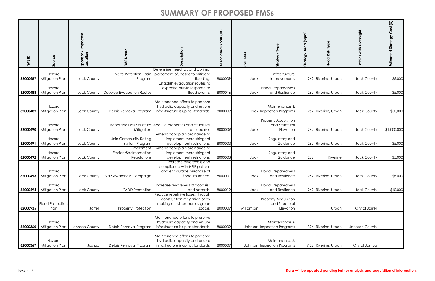| FMS ID   | Source                               | Sponsor / Impacted<br>Location | FMS Name                                          |                                                                                                                | Goals (ID)<br>Associated | unties<br>$\circ$<br>Õ | egy Type<br>Strate                                         | (sqmi)<br>Area<br><b>Strategy</b> | Type<br>Risk<br>$\overline{8}$<br>은 | Oversight<br>with<br><b>Entities</b> | $\mathfrak{S}$<br>Cost<br>Strategy<br>Estimated |
|----------|--------------------------------------|--------------------------------|---------------------------------------------------|----------------------------------------------------------------------------------------------------------------|--------------------------|------------------------|------------------------------------------------------------|-----------------------------------|-------------------------------------|--------------------------------------|-------------------------------------------------|
| 82000487 | Hazard<br>Mitigation Plan            | Jack County                    | On-Site Retention Basin<br>Program                | Determine need for, and optimal<br>placement of, basins to mitigate<br>flooding.                               | 8000009                  | Jack                   | Infrastructure<br>Improvements                             |                                   | 262 Riverine, Urban                 | <b>Jack County</b>                   | \$5,000                                         |
| 82000488 | Hazard<br>Mitigation Plan            | Jack County                    | <b>Develop Evacuation Routes</b>                  | Establish evacuation routes to<br>expedite public response to<br>flood events.                                 | 8000016                  | Jack                   | <b>Flood Preparedness</b><br>and Resilience                |                                   | 262 Riverine, Urban                 | <b>Jack County</b>                   | \$5,000                                         |
| 82000489 | Hazard<br>Mitigation Plan            | Jack County                    | Debris Removal Program                            | Maintenance efforts to preserve<br>hydraulic capacity and ensure<br>infrastructure is up to standards          | 8000009                  |                        | Maintenance &<br>Jack Inspection Programs                  |                                   | 262 Riverine, Urban                 | Jack County                          | \$50,000                                        |
| 82000490 | Hazard<br>Mitigation Plan            | Jack County                    | Mitigation                                        | Repetitive Loss Structure Acquire properties and structures<br>at flood risk                                   | 8000009                  | Jack                   | <b>Property Acquisition</b><br>and Structural<br>Elevation |                                   | 262 Riverine, Urban                 | Jack County                          | \$1,000,000                                     |
| 82000491 | Hazard<br>Mitigation Plan            | Jack County                    | Join Community Rating<br>System Program           | Amend floodplain ordinance to<br>implement more stringent<br>development restrictions                          | 8000003                  | Jack                   | Regulatory and<br>Guidance                                 |                                   | 262 Riverine, Urban                 | Jack County                          | \$5,000                                         |
|          | Hazard<br>82000492   Mitigation Plan | Jack County                    | Implement<br>Erosion/Sedimentation<br>Regulations | Amend floodplain ordinance to<br>implement more stringent<br>development restrictions                          | 8000003                  | Jack                   | Regulatory and<br>Guidance                                 | 262                               | Riverine                            | Jack County                          | \$5,000                                         |
|          | Hazard<br>82000493   Mitigation Plan |                                | Jack County   NFIP Awareness Campaign             | Increase awareness and<br>compliance with NFIP policies<br>and encourage purchase of<br>flood insurance.       | 8000001                  | Jack                   | <b>Flood Preparedness</b><br>and Resilience                |                                   | 262 Riverine, Urban                 | Jack County                          | \$8,000                                         |
| 82000494 | Hazard<br>Mitigation Plan            | Jack County                    | <b>TADD Promotion</b>                             | Increase awareness of flood risk<br>and hazards.                                                               | 8000019                  | Jack                   | <b>Flood Preparedness</b><br>and Resilience                |                                   | 262 Riverine, Urban                 | Jack County                          | \$10,000                                        |
| 82000935 | <b>Flood Protection</b><br>Plan      | Jarrell                        | <b>Property Protection</b>                        | Reduce repetitive losses through<br>construction mitigation or by<br>making at risk properties green<br>space. | 8000009                  | Williamson             | <b>Property Acquisition</b><br>and Structural<br>Elevation |                                   | Urban                               | City of Jarrell                      |                                                 |
| 82000360 | Hazard<br>Mitigation Plan            | Johnson County                 | Debris Removal Program                            | Maintenance efforts to preserve<br>hydraulic capacity and ensure<br>infrastructure is up to standards.         | 8000009                  |                        | Maintenance &<br>Johnson Inspection Programs               |                                   | 374 Riverine, Urban                 | Johnson County                       |                                                 |
|          | Hazard<br>82000367 Mitigation Plan   | Joshua                         | Debris Removal Program                            | Maintenance efforts to preserve<br>hydraulic capacity and ensure<br>infrastructure is up to standards.         | 8000009                  |                        | Maintenance &<br>Johnson Inspection Programs               |                                   | 9.22 Riverine, Urban                | City of Joshua                       |                                                 |

#### FMS - 17 **Data will be updated pending further analysis and acquisition of information.**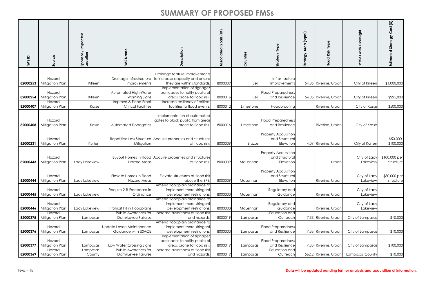| FMS ID   | Source                              | Impacted<br>Sponsor /<br>Location | Name<br>FMS                                                           | escription<br>≏                                                                                                               | $\widehat{\Xi}$<br>oals<br>Ô<br>ciated<br>O | Counties  | Strategy Type                                              | (sqmi)<br>Are<br>egy<br>Strat | <b>Flood Risk Type</b> | Entities with Oversight  | $\widehat{\mathfrak{S}}$<br><b>Estimated Strategy Cost</b> |
|----------|-------------------------------------|-----------------------------------|-----------------------------------------------------------------------|-------------------------------------------------------------------------------------------------------------------------------|---------------------------------------------|-----------|------------------------------------------------------------|-------------------------------|------------------------|--------------------------|------------------------------------------------------------|
| 82000253 | Hazard<br>Mitigation Plan           | Killeen                           | Drainage Infrastructure<br>Improvements                               | Drainage feature improvements<br>to increase capacity and ensure<br>they are within standards.                                | 8000009                                     | Bell      | Infrastructure<br>Improvements                             |                               | 54.05 Riverine, Urban  | City of Killeer          | \$1,000,000                                                |
| 82000254 | Hazard<br>Mitigation Plan<br>Hazard | Killeen                           | Automated High-Water<br><b>Warning Signs</b><br>Improve & Flood Proof | Implementation of signage/<br>barricades to notify public of<br>areas prone to flood risk.<br>Increase resiliency of critical | 8000016                                     | Bell      | <b>Flood Preparedness</b><br>and Resilience                |                               | 54.05 Riverine, Urban  | City of Killeer          | \$225,000                                                  |
| 82000407 | Mitigation Plan                     | Kosse                             | <b>Critical Facilities</b>                                            | facilities to flood events                                                                                                    | 8000012                                     | Limestone | Floodproofing                                              |                               | Riverine, Urban        | City of Kosse            | \$500,000                                                  |
| 82000408 | Hazard<br>Mitigation Plan           | Kosse                             | Automated Floodgates                                                  | Implementation of automated<br>gates to block public from areas<br>prone to flood risk                                        | 8000016                                     | Limestone | <b>Flood Preparedness</b><br>and Resilience                |                               | Riverine, Urban        | City of Kosse            |                                                            |
| 82000231 | Hazard<br>Mitigation Plan           | Kurten                            | Mitigation                                                            | Repetitive Loss Structure Acquire properties and structures<br>at flood risk.                                                 | 8000009                                     | Brazos    | <b>Property Acquisition</b><br>and Structural<br>Elevation |                               | 4.09 Riverine, Urban   | City of Kurten           | \$50,000-<br>\$100,000                                     |
| 82000443 | Hazard<br>Mitigation Plan           | Lacy Lakeview                     | Hazard Areas                                                          | Buyout Homes in Flood Acquire properties and structures<br>at flood risk.                                                     | 8000009                                     | McLennan  | Property Acquisition<br>and Structural<br>Elevation        |                               | Urban                  | City of Lacy<br>Lakeview | \$100,000 per<br>structure                                 |
| 82000444 | Hazard<br>Mitigation Plan           | Lacy Lakeview                     | Elevate Homes in Flood<br><b>Hazard Areas</b>                         | Elevate structures at flood risk<br>above the BFE                                                                             | 8000009                                     | McLennan  | <b>Property Acquisition</b><br>and Structural<br>Elevation |                               | Riverine, Urban        | City of Lacy<br>Lakeview | \$80,000 per<br>structure                                  |
| 82000445 | Hazard<br>Mitigation Plan           | Lacy Lakeview                     | Require 2-ft Freeboard in<br>Ordinance                                | Amend floodplain ordinance to<br>implement more stringent<br>development restrictions                                         | 8000003                                     | McLennan  | Regulatory and<br>Guidance                                 |                               | Riverine, Urban        | City of Lacy<br>Lakeview |                                                            |
| 82000446 | Hazard<br>Mitigation Plan           | Lacy Lakeview                     | Prohibit Fill in Floodplains                                          | Amend floodplain ordinance to<br>implement more stringent<br>development restrictions                                         | 8000003                                     | McLennan  | Regulatory and<br>Guidance                                 |                               | Riverine, Urban        | City of Lacy<br>Lakeview |                                                            |
| 82000375 | Hazard<br>Mitigation Plan           | Lampasas                          | <b>Public Awareness for</b><br>Dam/Levee Failures                     | Increase awareness of flood risk<br>and hazards.                                                                              | 8000019                                     | Lampasas  | Education and<br>Outreach                                  |                               | 7.33 Riverine, Urban   | City of Lampasas         | \$10,000                                                   |
| 82000376 | Hazard<br>Mitigation Plan           | Lampasas                          | Update Levee Maintenance<br>Guidance with USACE                       | Amend floodplain ordinance to<br>implement more stringent<br>development restrictions                                         | 8000003                                     | Lampasas  | <b>Flood Preparedness</b><br>and Resilience                |                               | 7.33 Riverine, Urban   | City of Lampasas         | \$10,000                                                   |
| 82000377 | Hazard<br>Mitigation Plan           | Lampasas                          | Low Water Crossing Signs                                              | Implementation of signage/<br>barricades to notify public of<br>areas prone to flood risk                                     | 8000019                                     | Lampasas  | <b>Flood Preparedness</b><br>and Resilience                |                               | 7.33 Riverine, Urban   | City of Lampasas         | \$100,000                                                  |
| 82000369 | Hazard<br>Mitigation Plan           | Lampasas<br>County                | <b>Public Awareness for</b><br>Dam/Levee Failures                     | Increase awareness of flood risk<br>and hazards.                                                                              | 8000019                                     | Lampasas  | Education and<br>Outreach                                  |                               | 562.2 Riverine, Urban  | Lampasas County          | \$10,000                                                   |

### FMS - 18 **Data will be updated pending further analysis and acquisition of information.**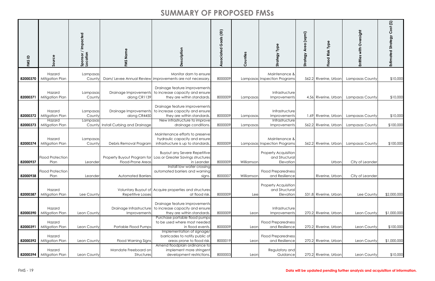| $\mathbf{a}$<br>FMS | Source                                       | / Impacted<br>Sponsor /<br>Location | FMS Name                                         | escription<br>$\Omega$                                                                                                          | Goals (ID)<br>Associated | Counties    | Strategy Type                                              | (sqmi)<br>Area<br>Strategy | Typ<br>Flood Risk     | Oversight<br>Entities with | $\mathfrak{S}$<br>Strategy<br>Estimated |
|---------------------|----------------------------------------------|-------------------------------------|--------------------------------------------------|---------------------------------------------------------------------------------------------------------------------------------|--------------------------|-------------|------------------------------------------------------------|----------------------------|-----------------------|----------------------------|-----------------------------------------|
| 82000370            | Hazard<br>Mitigation Plan                    | Lampasas<br>County                  |                                                  | Monitor dam to ensure<br>Dam/Levee Annual Review improvements are not necessary                                                 | 8000009                  |             | Maintenance &<br>Lampasas Inspection Programs              |                            | 562.2 Riverine, Urban | Lampasas County            | \$10,000                                |
| 82000371            | Hazard<br>Mitigation Plan                    | Lampasas<br>County                  | Drainage Improvements<br>along CR1139            | Drainage feature improvements<br>to increase capacity and ensure<br>they are within standards.                                  | 8000009                  | Lampasas    | Infrastructure<br>Improvements                             |                            | 4.56 Riverine, Urban  | Lampasas County            | \$10,000                                |
|                     | Hazard<br>82000372 Mitigation Plan<br>Hazard | Lampasas<br>County                  | Drainage Improvements<br>along CR4450            | Drainage feature improvements<br>to increase capacity and ensure<br>they are within standards.<br>New infrastructure to improve | 8000009                  | Lampasas    | Infrastructure<br>Improvements<br>Infrastructure           |                            | 1.69 Riverine, Urban  | Lampasas County            | \$10,000                                |
| 82000373            | Mitigation Plan                              | Lampasas                            | County Install Curbing and Drainage              | drainage conditions.                                                                                                            | 8000009                  | Lampasas    | Improvements                                               |                            | 562.2 Riverine, Urban | Lampasas County            | \$100,000                               |
| 82000374            | Hazard<br>Mitigation Plan                    | Lampasas<br>County                  | Debris Removal Program                           | Maintenance efforts to preserve<br>hydraulic capacity and ensure<br>infrastructure is up to standards.                          | 8000009                  |             | Maintenance &<br>Lampasas Inspection Programs              |                            | 562.2 Riverine, Urban | Lampasas County            | \$100,000                               |
| 82000937            | <b>Flood Protection</b><br>Plan              | Leander                             | Property Buyout Program for<br>Flood-Prone Areas | <b>Buyout any Severe Repetitive</b><br>Loss or Greater Savings structures<br>in Leander.                                        | 8000009                  | Williamson  | <b>Property Acquisition</b><br>and Structural<br>Elevation |                            | Urban                 | City of Leander            |                                         |
| 82000938            | <b>Flood Protection</b><br>Plan              | Leander                             | <b>Automated Barriers</b>                        | Install low water crossing<br>automated barriers and warning<br>signs.                                                          | 8000007                  | Williamson! | <b>Flood Preparedness</b><br>and Resilience                |                            | Riverine, Urban       | City of Leander            |                                         |
| 82000387            | Hazard<br>Mitigation Plan                    | Lee County                          | Repetitive Losses                                | Voluntary Buyout of Acquire properties and structures<br>at flood risk.                                                         | 8000009                  | Lee         | <b>Property Acquisition</b><br>and Structural<br>Elevation |                            | 531.8 Riverine, Urban | Lee County                 | \$2,000,000                             |
| 82000390            | Hazard<br>Mitigation Plan                    | Leon County                         | Drainage Infrastructure<br>Improvements          | Drainage feature improvements<br>to increase capacity and ensure<br>they are within standards.                                  | 8000009                  | Leon        | Infrastructure<br>Improvements                             |                            | 270.2 Riverine, Urban | Leon County                | \$1,000,000                             |
| 82000391            | Hazard<br>Mitigation Plan                    | Leon County                         | Portable Flood Pumps                             | Purchase portable flood pumps<br>to be used where most needed<br>in flood events.                                               | 8000009                  | Leon        | <b>Flood Preparedness</b><br>and Resilience                |                            | 270.2 Riverine, Urban | Leon County                | \$100,000                               |
| 82000392            | Hazard<br>Mitigation Plan                    | Leon County                         | <b>Flood Warning Signs</b>                       | Implementation of signage/<br>barricades to notify public of<br>areas prone to flood risk.                                      | 8000019                  | Leon        | <b>Flood Preparedness</b><br>and Resilience                |                            | 270.2 Riverine, Urban | Leon County                | \$1,000,000                             |
|                     | Hazard<br>82000394 Mitigation Plan           | Leon County                         | Mandate Freeboard on<br>Structures               | Amend floodplain ordinance to<br>implement more stringent<br>development restrictions.                                          | 8000003                  | Leon        | Regulatory and<br>Guidance                                 |                            | 270.2 Riverine, Urban | Leon County                | \$10,000                                |

#### FMS - 19 **Data will be updated pending further analysis and acquisition of information.**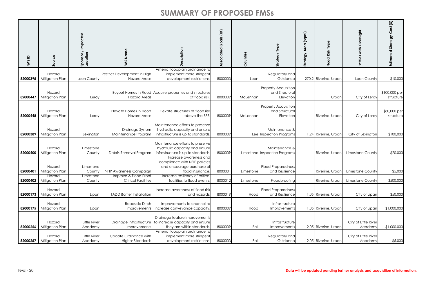| FMS ID   | Source                    | Sponsor / Impacted<br>Location | FMS Name                                            | cription                                                                                                 | Goals (ID)<br>Associated | Counties  | ĪУP<br>egy<br>Strat                                        | (sqmi)<br>Area<br>Strategy | Typ<br>Risk<br>$\overline{8}$<br>은 | ersight<br>O<br>with<br>Entities | $\overline{\mathfrak{S}}$<br>$\mathbf C$<br>Estir |
|----------|---------------------------|--------------------------------|-----------------------------------------------------|----------------------------------------------------------------------------------------------------------|--------------------------|-----------|------------------------------------------------------------|----------------------------|------------------------------------|----------------------------------|---------------------------------------------------|
| 82000395 | Hazard<br>Mitigation Plan | Leon County                    | Restrict Development in High<br><b>Hazard Areas</b> | Amend floodplain ordinance to<br>implement more stringent<br>development restrictions.                   | 8000003                  | Leon      | Regulatory and<br>Guidance                                 |                            | 270.2 Riverine, Urban              | Leon County                      | \$10,000                                          |
| 82000447 | Hazard<br>Mitigation Plan | Leroy                          | <b>Hazard Areas</b>                                 | Buyout Homes in Flood Acquire properties and structures<br>at flood risk.                                | 8000009                  | McLennan  | <b>Property Acquisition</b><br>and Structural<br>Elevation |                            | Urban                              | City of Leroy                    | \$100,000 per<br>structure                        |
| 82000448 | Hazard<br>Mitigation Plan | Leroy                          | Elevate Homes in Flood<br><b>Hazard Areas</b>       | Elevate structures at flood risk<br>above the BFE.                                                       | 8000009                  | McLennan  | <b>Property Acquisition</b><br>and Structural<br>Elevation |                            | Riverine, Urban                    | City of Leroy                    | \$80,000 per<br>structure                         |
| 82000389 | Hazard<br>Mitigation Plan | Lexington                      | Drainage System<br>Maintenance Program              | Maintenance efforts to preserve<br>hydraulic capacity and ensure<br>infrastructure is up to standards.   | 8000009                  |           | Maintenance &<br>Lee Inspection Programs                   |                            | 1.24 Riverine, Urban               | City of Lexington                | \$100,000                                         |
| 82000400 | Hazard<br>Mitigation Plan | Limestone<br>County            | Debris Removal Program                              | Maintenance efforts to preserve<br>hydraulic capacity and ensure<br>infrastructure is up to standards.   | 8000009                  |           | Maintenance &<br>Limestone Inspection Programs             |                            | Riverine, Urban                    | <b>Limestone County</b>          | \$20,000                                          |
| 82000401 | Hazard<br>Mitigation Plan | Limestone<br>County            | NFIP Awareness Campaign                             | Increase awareness and<br>compliance with NFIP policies<br>and encourage purchase of<br>flood insurance. | 8000001                  | Limestone | <b>Flood Preparedness</b><br>and Resilience                |                            | Riverine, Urban                    | Limestone County                 | \$5,000                                           |
| 82000402 | Hazard<br>Mitigation Plan | Limestone<br>County            | Improve & Flood Proof<br><b>Critical Facilities</b> | Increase resiliency of critical<br>facilities to flood events.                                           | 8000012                  | Limestone | Floodproofing                                              |                            | Riverine, Urban                    | Limestone County                 | \$500,000                                         |
| 82000173 | Hazard<br>Mitigation Plan | Lipan                          | <b>TADD Barrier Installation</b>                    | Increase awareness of flood risk<br>and hazards.                                                         | 8000019                  | Hood      | <b>Flood Preparedness</b><br>and Resilience                |                            | 1.05 Riverine, Urban               | City of Lipan                    | \$50,000                                          |
| 82000175 | Hazard<br>Mitigation Plan | Lipan                          | Roadside Ditch<br>Improvements                      | Improvements to channel to<br>increase conveyance capacity.                                              | 8000009                  | Hood      | Infrastructure<br>Improvements                             |                            | 1.05 Riverine, Urban               | City of Lipan                    | \$1,000,000                                       |
| 82000256 | Hazard<br>Mitigation Plan | Little River<br>Academy        | Drainage Infrastructure<br>Improvements             | Drainage feature improvements<br>to increase capacity and ensure<br>they are within standards.           | 8000009                  | Bell      | Infrastructure<br>Improvements                             |                            | 2.05 Riverine, Urban               | City of Little River<br>Academy  | \$1,000,000                                       |
| 82000257 | Hazard<br>Mitigation Plan | Little River<br>Academy        | Update Ordinance with<br>Higher Standards           | Amend floodplain ordinance to<br>implement more stringent<br>development restrictions.                   | 8000003                  | Bell      | Regulatory and<br>Guidance                                 |                            | 2.05 Riverine, Urban               | City of Little River<br>Academy  | \$5,000                                           |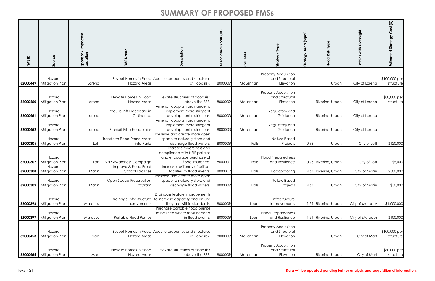| FMS ID   | Source                    | Sponsor / Impacted<br>Location | FMS Name                                            | Description                                                                                              | Goals (ID)<br>Associated | Counties | ĽЙ<br>egy<br>Strat                                         | (sqmi)<br>Area<br>Strategy | Type<br>od Risk<br>$\frac{8}{2}$ | ersight<br>Ó<br>with<br>Entities | $\widehat{\mathfrak{S}}$<br>Cost<br>egy<br>Estim |
|----------|---------------------------|--------------------------------|-----------------------------------------------------|----------------------------------------------------------------------------------------------------------|--------------------------|----------|------------------------------------------------------------|----------------------------|----------------------------------|----------------------------------|--------------------------------------------------|
| 82000449 | Hazard<br>Mitigation Plan | Lorena                         | <b>Hazard Areas</b>                                 | Buyout Homes in Flood Acquire properties and structures<br>at flood risk.                                | 8000009                  | McLennan | <b>Property Acquisition</b><br>and Structural<br>Elevation |                            | Urban                            | City of Lorena                   | \$100,000 per<br>structure                       |
| 82000450 | Hazard<br>Mitigation Plan | Lorena                         | Elevate Homes in Flood<br><b>Hazard Areas</b>       | Elevate structures at flood risk<br>above the BFE.                                                       | 8000009                  | McLennar | <b>Property Acquisition</b><br>and Structural<br>Elevation |                            | Riverine, Urban                  | City of Lorena                   | \$80,000 per<br>structure                        |
| 82000451 | Hazard<br>Mitigation Plan | Lorena                         | Require 2-ft Freeboard in<br>Ordinance              | Amend floodplain ordinance to<br>implement more stringent<br>development restrictions.                   | 8000003                  | McLennar | Regulatory and<br>Guidance                                 |                            | Riverine, Urban                  | City of Lorena                   |                                                  |
| 82000452 | Hazard<br>Mitigation Plan | Lorena                         | Prohibit Fill in Floodplains                        | Amend floodplain ordinance to<br>implement more stringent<br>development restrictions                    | 8000003                  | McLennan | Regulatory and<br>Guidance                                 |                            | Riverine, Urban                  | City of Lorena                   |                                                  |
| 82000306 | Hazard<br>Mitigation Plan | Lott                           | Transform Flood-Prone Areas<br>into Parks           | Preserve and create more open<br>space to naturally store and<br>discharge flood waters.                 | 8000009                  | Falls    | Nature Based<br>Projects                                   | 0.96                       | Urban                            | City of Lott                     | \$120,000                                        |
| 82000307 | Hazard<br>Mitigation Plan | Lott                           | NFIP Awareness Campaign                             | Increase awareness and<br>compliance with NFIP policies<br>and encourage purchase of<br>flood insurance. | 8000001                  | Falls    | <b>Flood Preparedness</b><br>and Resilience                |                            | 0.96 Riverine, Urban             | City of Lott                     | \$5,000                                          |
| 82000308 | Hazard<br>Mitigation Plan | Marlin                         | Improve & Flood Proof<br><b>Critical Facilities</b> | Increase resiliency of critical<br>facilities to flood events                                            | 8000012                  | Falls    | Floodproofing                                              |                            | 4.64 Riverine, Urban             | City of Marlin                   | \$500,000                                        |
| 82000309 | Hazard<br>Mitigation Plan | Marlin                         | Open Space Preservation<br>Program                  | Preserve and create more open<br>space to naturally store and<br>discharge flood waters.                 | 8000009                  | Falls    | Nature Based<br>Projects                                   | 4.64                       | Urban                            | City of Marlin                   | \$50,000                                         |
| 82000396 | Hazard<br>Mitigation Plan | Marquez                        | Drainage Infrastructure<br>Improvements             | Drainage feature improvements<br>to increase capacity and ensure<br>they are within standards.           | 8000009                  | Leon     | Infrastructure<br>Improvements                             |                            | 1.31 Riverine, Urban             | City of Marquez                  | \$1,000,000                                      |
| 82000397 | Hazard<br>Mitigation Plan | Marquez                        | Portable Flood Pumps                                | Purchase portable flood pumps<br>to be used where most needed<br>in flood events.                        | 8000009                  | Leon     | <b>Flood Preparedness</b><br>and Resilience                |                            | 1.31 Riverine, Urban             | City of Marquez                  | \$100,000                                        |
| 82000453 | Hazard<br>Mitigation Plan | Mart                           | <b>Hazard Areas</b>                                 | Buyout Homes in Flood Acquire properties and structures<br>at flood risk.                                | 8000009                  | McLennar | <b>Property Acquisition</b><br>and Structural<br>Elevation |                            | Urban                            | City of Mart                     | \$100,000 per<br>structure                       |
| 82000454 | Hazard<br>Mitigation Plan | Mart                           | Elevate Homes in Flood<br><b>Hazard Areas</b>       | Elevate structures at flood risk<br>above the BFE.                                                       | 8000009                  | McLennan | <b>Property Acquisition</b><br>and Structural<br>Elevation |                            | Riverine, Urban                  | City of Mart                     | \$80,000 per<br>structure                        |

### FMS - 21 **Data will be updated pending further analysis and acquisition of information.**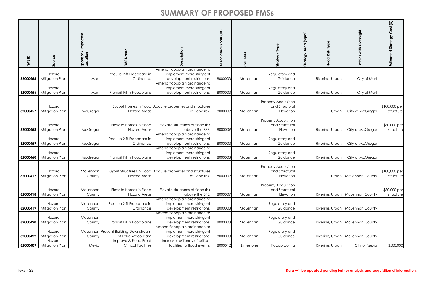| FMS ID   | Source                               | Sponsor / Impacted<br>Location | FMS Nam                                                  | ription                                                                                | Goals (ID)<br>Associated | unties<br>Š | ĪУP<br>egy<br>Stra                                         | (sqmi)<br>Area<br>Strategy | Typ<br>Risk<br>$\overline{8}$<br>은 | ersight<br>O<br>Entitie         | $\widehat{\mathfrak{G}}$<br>$\mathbf C$<br>ଚ<br>ତ<br>Estin |
|----------|--------------------------------------|--------------------------------|----------------------------------------------------------|----------------------------------------------------------------------------------------|--------------------------|-------------|------------------------------------------------------------|----------------------------|------------------------------------|---------------------------------|------------------------------------------------------------|
| 82000455 | Hazard<br>Mitigation Plan            | Mart                           | Require 2-ft Freeboard in<br>Ordinance                   | Amend floodplain ordinance to<br>implement more stringent<br>development restrictions. | 8000003                  | McLennan    | Regulatory and<br>Guidance                                 |                            | Riverine, Urban                    | City of Mart                    |                                                            |
| 82000456 | Hazard<br>Mitigation Plan            | Mart                           | Prohibit Fill in Floodplains                             | Amend floodplain ordinance to<br>implement more stringent<br>development restrictions. | 8000003                  | McLennan    | Regulatory and<br>Guidance                                 |                            | Riverine, Urban                    | City of Mart                    |                                                            |
| 82000457 | Hazard<br>Mitigation Plan            | McGregor                       | <b>Hazard Areas</b>                                      | Buyout Homes in Flood Acquire properties and structures<br>at flood risk.              | 8000009                  | McLennan    | <b>Property Acquisition</b><br>and Structural<br>Elevation |                            | Urban                              | City of McGregor                | \$100,000 per<br>structure                                 |
| 82000458 | Hazard<br>Mitigation Plan            | McGregor                       | Elevate Homes in Flood<br><b>Hazard Areas</b>            | Elevate structures at flood risk<br>above the BFE.                                     | 8000009                  | McLennan    | <b>Property Acquisition</b><br>and Structural<br>Elevation |                            | Riverine, Urban                    | City of McGregor                | \$80,000 per<br>structure                                  |
| 82000459 | Hazard<br>Mitigation Plan            | McGregor                       | Require 2-ft Freeboard in<br>Ordinance                   | Amend floodplain ordinance to<br>implement more stringent<br>development restrictions. | 8000003                  | McLennan    | Regulatory and<br>Guidance                                 |                            | Riverine, Urban                    | City of McGregor                |                                                            |
| 82000460 | Hazard<br>Mitigation Plan            | McGregor                       | Prohibit Fill in Floodplains                             | Amend floodplain ordinance to<br>implement more stringent<br>development restrictions  | 8000003                  | McLennan    | Regulatory and<br>Guidance                                 |                            | Riverine, Urban                    | City of McGregor                |                                                            |
|          | Hazard<br>82000417   Mitigation Plan | McLennan<br>County             | Hazard Areas                                             | Buyout Structures in Flood Acquire properties and structures<br>at flood risk.         | 8000009                  | McLennan    | <b>Property Acquisition</b><br>and Structural<br>Elevation |                            |                                    | Urban McLennan County           | \$100,000 per<br>structure                                 |
| 82000418 | Hazard<br>Mitigation Plan            | McLennan<br>County             | Elevate Homes in Flood<br>Hazard Areas                   | Elevate structures at flood risk<br>above the BFE.                                     | 8000009                  | McLennan    | <b>Property Acquisition</b><br>and Structural<br>Elevation |                            |                                    | Riverine, Urban McLennan County | \$80,000 per<br>structure                                  |
| 82000419 | Hazard<br>Mitigation Plan            | McLennan<br>County             | Require 2-ft Freeboard in<br>Ordinance                   | Amend floodplain ordinance to<br>implement more stringent<br>development restrictions. | 8000003                  | McLennan    | Regulatory and<br>Guidance                                 |                            | Riverine, Urban                    | <b>McLennan County</b>          |                                                            |
| 82000420 | Hazard<br>Mitigation Plan            | McLennan<br>County             | Prohibit Fill in Floodplains                             | Amend floodplain ordinance to<br>implement more stringent<br>development restrictions. | 8000003                  | McLennan    | Regulatory and<br>Guidance                                 |                            |                                    | Riverine, Urban McLennan County |                                                            |
| 82000422 | Hazard<br>Mitigation Plan            | County                         | McLennan Prevent Building Downstream<br>of Lake Waco Dam | Amend floodplain ordinance to<br>implement more stringent<br>development restrictions. | 8000003                  | McLennan    | Regulatory and<br>Guidance                                 |                            | Riverine, Urban                    | <b>McLennan County</b>          |                                                            |
| 82000409 | Hazard<br>Mitigation Plan            | Mexia                          | Improve & Flood Proof<br><b>Critical Facilities</b>      | Increase resiliency of critical<br>facilities to flood events.                         | 8000012                  | Limestone   | Floodproofing                                              |                            | Riverine, Urban                    | City of Mexia                   | \$500,000                                                  |

#### FMS - 22 **Data will be updated pending further analysis and acquisition of information.**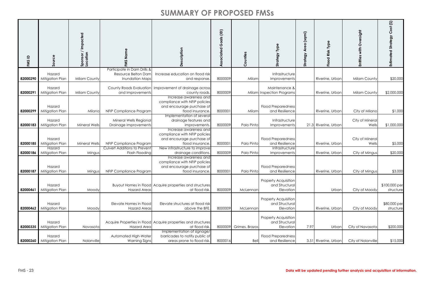| FMS ID   | Source                    | Sponsor / Impacted<br>Location | FMS Name                                              | cription<br>$\Omega$                                                                                     | $\widehat{\Xi}$<br>Goals<br>Associated | Counties               | Type<br>egy<br>Stra                                        | (sqmi)<br>Area<br>Strategy | Typ<br>Risk<br>$\overline{8}$<br>$\frac{6}{5}$ | ersight<br>O<br>with<br>Entities | $\widehat{\mathfrak{G}}$<br>bst<br>$\mathbf C$<br>ΘĎ<br>Estimate |
|----------|---------------------------|--------------------------------|-------------------------------------------------------|----------------------------------------------------------------------------------------------------------|----------------------------------------|------------------------|------------------------------------------------------------|----------------------------|------------------------------------------------|----------------------------------|------------------------------------------------------------------|
|          | Hazard                    |                                | Participate in Dam Drills &<br>Resource Belton Dam    | Increase education on flood risk                                                                         |                                        |                        | Infrastructure                                             |                            |                                                |                                  |                                                                  |
| 82000290 | Mitigation Plan           | Milam County                   | <b>Inundation Maps</b>                                | and response.                                                                                            | 8000009                                | Milam                  | Improvements                                               |                            | Riverine, Urban                                | <b>Milam County</b>              | \$20,000                                                         |
| 82000291 | Hazard<br>Mitigation Plan | <b>Milam County</b>            | and Improvements                                      | County Roads Evaluation   Improvement of drainage across<br>county roads.                                | 8000009                                |                        | Maintenance &<br>Milam Inspection Programs                 |                            | Riverine, Urban                                | <b>Milam County</b>              | \$2,000,000                                                      |
| 82000299 | Hazard<br>Mitigation Plan | Milano                         | NFIP Compliance Program                               | Increase awareness and<br>compliance with NFIP policies<br>and encourage purchase of<br>flood insurance. | 8000001                                | Milam                  | <b>Flood Preparedness</b><br>and Resilience                |                            | Riverine, Urban                                | City of Milano                   | \$1,000                                                          |
| 82000183 | Hazard<br>Mitigation Plan | <b>Mineral Wells</b>           | Mineral Wells Regional<br>Drainage Improvements       | Implementation of several<br>drainage features and<br>improvements.                                      | 8000009                                | Palo Pinto             | Infrastructure<br>Improvements                             |                            | 21.3 Riverine, Urban                           | City of Mineral<br>Wells         | \$1,000,000                                                      |
| 82000185 | Hazard<br>Mitigation Plan | <b>Mineral Wells</b>           | NFIP Compliance Program                               | Increase awareness and<br>compliance with NFIP policies<br>and encourage purchase of<br>flood insurance. | 8000001                                | Palo Pinto             | <b>Flood Preparedness</b><br>and Resilience                |                            | Riverine, Urban                                | City of Mineral<br>Wells         | \$5,000                                                          |
| 82000186 | Hazard<br>Mitigation Plan | Mingus                         | <b>Culvert Additions to Prevent</b><br>Flash Flooding | New infrastructure to improve<br>drainage conditions.                                                    | 8000009                                | Palo Pinto             | Infrastructure<br>Improvements                             |                            | Riverine, Urban                                | City of Mingus                   | \$20,000                                                         |
| 82000187 | Hazard<br>Mitigation Plan | Mingus                         | NFIP Compliance Program                               | Increase awareness and<br>compliance with NFIP policies<br>and encourage purchase of<br>flood insurance. | 8000001                                | Palo Pinto             | <b>Flood Preparedness</b><br>and Resilience                |                            | Riverine, Urban                                | City of Mingus                   | \$3,000                                                          |
| 82000461 | Hazard<br>Mitigation Plan | Moody                          | <b>Hazard Areas</b>                                   | Buyout Homes in Flood Acquire properties and structures<br>at flood risk.                                | 8000009                                | McLennan               | <b>Property Acquisition</b><br>and Structural<br>Elevation |                            | Urban                                          | City of Moody                    | \$100,000 per<br>structure                                       |
| 82000462 | Hazard<br>Mitigation Plan | Moody                          | Elevate Homes in Flood<br><b>Hazard Areas</b>         | Elevate structures at flood risk<br>above the BFE.                                                       | 8000009                                | McLennan               | <b>Property Acquisition</b><br>and Structural<br>Elevation |                            | Riverine, Urban                                | City of Moody                    | \$80,000 per<br>structure                                        |
| 82000335 | Hazard<br>Mitigation Plan | Navasota                       | <b>Hazard Area</b>                                    | Acquire Properties in Flood Acquire properties and structures<br>at flood risk.                          |                                        | 8000009 Grimes, Brazos | <b>Property Acquisition</b><br>and Structural<br>Elevation | 7.97                       | Urban                                          | City of Navasota                 | \$200,000                                                        |
| 82000260 | Hazard<br>Mitigation Plan | Nolanville                     | Automated High-Water<br>Warning Signs                 | Implementation of signage/<br>barricades to notify public of<br>areas prone to flood risk.               | 8000016                                | Bell                   | <b>Flood Preparedness</b><br>and Resilience                |                            | 3.51 Riverine, Urban                           | City of Nolanville               | \$15,000                                                         |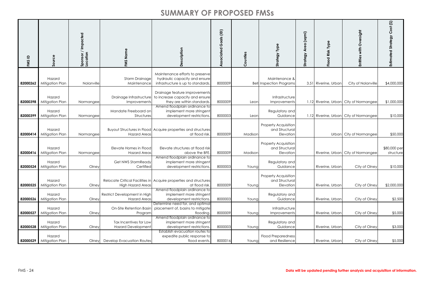| <b>FMSID</b> | Source                    | Sponsor / Impacted<br>Location | FMS Name                                            | escription<br>$\Omega$                                                                                                    | Goals (ID)<br>Associated | Counties | Type<br>egy<br>Strat                                       | (sqmi)<br><b>Area</b><br>Strategy | Typ<br>Risk<br>Flood | ersight<br>><br>O<br>with<br>Entities  | $\overline{\mathfrak{S}}$<br>$\overline{\text{S}}$<br>Ŭ<br>Strategy<br>Estimated |
|--------------|---------------------------|--------------------------------|-----------------------------------------------------|---------------------------------------------------------------------------------------------------------------------------|--------------------------|----------|------------------------------------------------------------|-----------------------------------|----------------------|----------------------------------------|----------------------------------------------------------------------------------|
| 82000262     | Hazard<br>Mitigation Plan | Nolanville                     | Storm Drainage<br>Maintenance                       | Maintenance efforts to preserve<br>hydraulic capacity and ensure<br>infrastructure is up to standards.                    | 8000009                  |          | Maintenance &<br><b>Bell Inspection Programs</b>           |                                   | 3.51 Riverine, Urban | City of Nolanville                     | \$4,000,000                                                                      |
| 82000398     | Hazard<br>Mitigation Plan | Normangee                      | Drainage Infrastructure<br>Improvements             | Drainage feature improvements<br>to increase capacity and ensure<br>they are within standards.                            | 8000009                  | Leon     | Infrastructure<br>Improvements                             |                                   |                      | 1.12 Riverine, Urban City of Normangee | \$1,000,000                                                                      |
| 82000399     | Hazard<br>Mitigation Plan | Normangee                      | Mandate Freeboard on<br>Structures                  | Amend floodplain ordinance to<br>implement more stringent<br>development restrictions.                                    | 8000003                  | Leon     | Regulatory and<br>Guidance                                 |                                   |                      | 1.12 Riverine, Urban City of Normangee | \$10,000                                                                         |
| 82000414     | Hazard<br>Mitigation Plan | Normangee                      | <b>Hazard Areas</b>                                 | Buyout Structures in Flood Acquire properties and structures<br>at flood risk.                                            | 8000009                  | Madison  | <b>Property Acquisition</b><br>and Structural<br>Elevation |                                   |                      | Urban City of Normangee                | \$50,000                                                                         |
| 82000416     | Hazard<br>Mitigation Plan | Normangee                      | Elevate Homes in Flood<br><b>Hazard Areas</b>       | Elevate structures at flood risk<br>above the BFE.                                                                        | 8000009                  | Madison  | <b>Property Acquisition</b><br>and Structural<br>Elevation |                                   |                      | Riverine, Urban City of Normangee      | \$80,000 per<br>structure                                                        |
| 82000524     | Hazard<br>Mitigation Plan | Olney                          | Get NWS StormReady<br>Certified                     | Amend floodplain ordinance to<br>implement more stringent<br>development restrictions                                     | 8000003                  | Young    | Regulatory and<br>Guidance                                 |                                   | Riverine, Urban      | City of Olney                          | \$10,000                                                                         |
| 82000525     | Hazard<br>Mitigation Plan | Olney                          | <b>High Hazard Areas</b>                            | Relocate Critical Facilities in Acquire properties and structures<br>at flood risk.                                       | 8000009                  | Young    | <b>Property Acquisition</b><br>and Structural<br>Elevation |                                   | Riverine, Urban      | City of Olney                          | \$2,000,000                                                                      |
| 82000526     | Hazard<br>Mitigation Plan | Olney                          | Restrict Development in High<br><b>Hazard Areas</b> | Amend floodplain ordinance to<br>implement more stringent<br>development restrictions.<br>Determine need for, and optimal | 8000003                  | Young    | Regulatory and<br>Guidance                                 |                                   | Riverine, Urban      | City of Olney                          | \$2,500                                                                          |
| 82000527     | Hazard<br>Mitigation Plan | Olney                          | On-Site Retention Basin<br>Program                  | placement of, basins to mitigate<br>flooding.                                                                             | 8000009                  | Young    | Infrastructure<br>Improvements                             |                                   | Riverine, Urban      | City of Olney                          | \$5,000                                                                          |
| 82000528     | Hazard<br>Mitigation Plan | Olney                          | Tax Incentives for Low<br><b>Hazard Development</b> | Amend floodplain ordinance to<br>implement more stringent<br>development restrictions.                                    | 8000003                  | Young    | Regulatory and<br>Guidance                                 |                                   | Riverine, Urban      | City of Olney                          | \$3,000                                                                          |
| 82000529     | Hazard<br>Mitigation Plan | Olney                          | <b>Develop Evacuation Routes</b>                    | Establish evacuation routes to<br>expedite public response to<br>flood events.                                            | 8000016                  | Young    | <b>Flood Preparedness</b><br>and Resilience                |                                   | Riverine, Urban      | City of Olney                          | \$5,000                                                                          |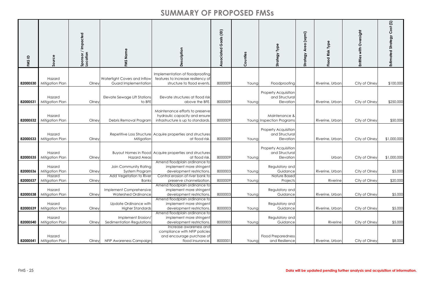| FMS ID   | Source                    | Sponsor / Impacted<br>Location | FMS Nam                                                     | scription<br>$\Omega$                                                                                    | <b>Associated Goals (ID)</b> | ounties<br>$\mathbf{\tilde{O}}$ | Strategy Type                                              | (sqmi)<br>Area<br>Strategy | Type<br>od Risk<br><u>은</u> | Oversight<br>with<br><b>Entities</b> | $\mathfrak{S}$<br>Cost<br>Strategy<br>Estimated |
|----------|---------------------------|--------------------------------|-------------------------------------------------------------|----------------------------------------------------------------------------------------------------------|------------------------------|---------------------------------|------------------------------------------------------------|----------------------------|-----------------------------|--------------------------------------|-------------------------------------------------|
| 82000530 | Hazard<br>Mitigation Plan | Olney                          | Watertight Covers and Inflow<br><b>Guard Implementation</b> | Implementation of floodproofing<br>features to increase resiliency of<br>structure to flood events.      | 8000009                      | Young                           | Floodproofing                                              |                            | Riverine, Urban             | City of Olney                        | \$100,000                                       |
| 82000531 | Hazard<br>Mitigation Plan | Olney                          | Elevate Sewage Lift Stations<br>to BFE                      | Elevate structures at flood risk<br>above the BFE.                                                       | 8000009                      | Young                           | <b>Property Acquisition</b><br>and Structural<br>Elevation |                            | Riverine, Urban             | City of Olney                        | \$250,000                                       |
| 82000532 | Hazard<br>Mitigation Plan | Olney                          | Debris Removal Program                                      | Maintenance efforts to preserve<br>hydraulic capacity and ensure<br>infrastructure is up to standards.   | 8000009                      |                                 | Maintenance &<br>Young Inspection Programs                 |                            | Riverine, Urban             | City of Olney                        | \$50,000                                        |
| 82000533 | Hazard<br>Mitigation Plan | Olney                          | Mitigation                                                  | Repetitive Loss Structure Acquire properties and structures<br>at flood risk.                            | 8000009                      | Young                           | <b>Property Acquisition</b><br>and Structural<br>Elevation |                            | Riverine, Urban             | City of Olney                        | \$1,000,000                                     |
| 82000535 | Hazard<br>Mitigation Plan | Olney                          | <b>Hazard Areas</b>                                         | Buyout Homes in Flood Acquire properties and structures<br>at flood risk.                                | 8000009                      | Young                           | <b>Property Acquisition</b><br>and Structural<br>Elevation |                            | Urban                       | City of Olney                        | \$1,000,000                                     |
| 82000536 | Hazard<br>Mitigation Plan | Olney                          | Join Community Rating<br>System Program                     | Amend floodplain ordinance to<br>implement more stringent<br>development restrictions.                   | 8000003                      | Young                           | Regulatory and<br>Guidance                                 |                            | Riverine, Urban             | City of Olney                        | \$5,000                                         |
| 82000537 | Hazard<br>Mitigation Plan | Olney                          | Add Vegetation to River<br><b>Banks</b>                     | Control erosion of river bank to<br>preserve channelization                                              | 8000009                      | Young                           | <b>Nature Based</b><br>Projects                            |                            | Riverine                    | City of Olney                        | \$20,000                                        |
| 82000538 | Hazard<br>Mitigation Plan | Olney                          | Implement Comprehensive<br>Watershed Ordinance              | Amend floodplain ordinance to<br>implement more stringent<br>development restrictions.                   | 8000003                      | Young                           | Regulatory and<br>Guidance                                 |                            | Riverine, Urban             | City of Olney                        | \$5,000                                         |
| 82000539 | Hazard<br>Mitigation Plan | Olney                          | Update Ordinance with<br><b>Higher Standards</b>            | Amend floodplain ordinance to<br>implement more stringent<br>development restrictions                    | 8000003                      | Young                           | Regulatory and<br>Guidance                                 |                            | Riverine, Urban             | City of Olney                        | \$5,000                                         |
| 82000540 | Hazard<br>Mitigation Plan | Olney                          | Implement Erosion/<br>Sedimentation Regulations             | Amend floodplain ordinance to<br>implement more stringent<br>development restrictions.                   | 8000003                      | Young                           | Regulatory and<br>Guidance                                 |                            | Riverine                    | City of Olney                        | \$5,000                                         |
| 82000541 | Hazard<br>Mitigation Plan | Olney                          | NFIP Awareness Campaign                                     | Increase awareness and<br>compliance with NFIP policies<br>and encourage purchase of<br>flood insurance. | 8000001                      | Young                           | <b>Flood Preparedness</b><br>and Resilience                |                            | Riverine, Urban             | City of Olney                        | \$8,000                                         |

#### FMS - 25 **Data will be updated pending further analysis and acquisition of information.**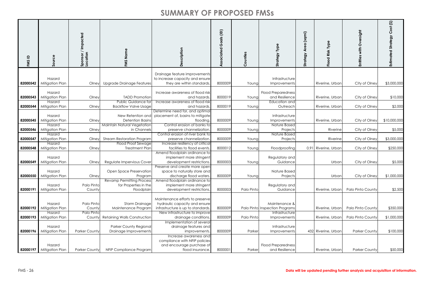| <b>FMSID</b>         | Source                                       | Impacted<br>$\overline{\phantom{0}}$<br>Sponsor /<br> Location | Name<br>FMS                                                                 | Δ                                                                                                        | Goals (ID)<br>Associated | unties<br>Ō<br>O | Strategy Type                                                | (sqmi)<br>Area<br>Strategy | Φ<br>Type<br>Risk<br>$\overline{8}$<br>$\frac{6}{5}$ | Oversight<br>with<br><b>Entities</b> | $\mathfrak{S}$<br>Cost<br>Strategy<br>Estimated |
|----------------------|----------------------------------------------|----------------------------------------------------------------|-----------------------------------------------------------------------------|----------------------------------------------------------------------------------------------------------|--------------------------|------------------|--------------------------------------------------------------|----------------------------|------------------------------------------------------|--------------------------------------|-------------------------------------------------|
| 82000542             | Hazard<br>Mitigation Plan                    | Olney                                                          | Upgrade Drainage Features                                                   | Drainage feature improvements<br>to increase capacity and ensure<br>they are within standards.           | 8000009                  | Young            | Infrastructure<br>Improvements                               |                            | Riverine, Urban                                      | City of Olney                        | \$3,000,000                                     |
| 82000543             | Hazard<br>Mitigation Plan<br>Hazard          | Olney                                                          | <b>TADD Promotion</b><br><b>Public Guidance for</b>                         | Increase awareness of flood risk<br>and hazards.<br>Increase awareness of flood risk                     | 8000019                  | Young            | <b>Flood Preparedness</b><br>and Resilience<br>Education and |                            | Riverine, Urban                                      | City of Olney                        | \$10,000                                        |
| 82000544<br>82000545 | Mitigation Plan<br>Hazard<br>Mitigation Plan | Olney<br>Olney                                                 | <b>Backflow Valve Usage</b><br>New Retention and<br><b>Detention Basins</b> | and hazards.<br>Determine need for, and optimal<br>placement of, basins to mitigate<br>flooding.         | 8000019<br>8000009       | Young<br>Young   | Outreach<br>Infrastructure<br>Improvements                   |                            | Riverine, Urban<br>Riverine, Urban                   | City of Olney<br>City of Olney       | \$2,000<br>\$10,000,000                         |
| 82000546             | Hazard<br>Mitigation Plan<br>Hazard          | Olney                                                          | <b>Maintain Natural Vegetation</b><br>in Channels                           | Control erosion of banks to<br>preserve channelization<br>Control erosion of river bank to               | 8000009                  | Young            | <b>Nature Based</b><br>Projects<br>Nature Based              |                            | Riverine                                             | City of Olney                        | \$5,000                                         |
| 82000547             | Mitigation Plan<br>Hazard                    | Olney                                                          | <b>Stream Restoration Program</b><br><b>Flood Proof Sewage</b>              | preserve channelization.<br>Increase resiliency of critical                                              | 8000009                  | Young            | Projects                                                     |                            | Riverine                                             | City of Olney                        | \$3,000,000                                     |
| 82000548             | Mitigation Plan                              | Olney                                                          | <b>Treatment Plan</b>                                                       | facilities to flood events.<br>Amend floodplain ordinance to                                             | 8000012                  | Young            | Floodproofing                                                |                            | 0.91 Riverine, Urban                                 | City of Olney                        | \$250,000                                       |
| 82000549             | Hazard<br>Mitigation Plan                    | Olney                                                          | Regulate Impervious Cover                                                   | implement more stringent<br>development restrictions.<br>Preserve and create more open                   | 8000003                  | Young            | Regulatory and<br>Guidance                                   |                            | Urban                                                | City of Olney                        | \$5,000                                         |
|                      | Hazard<br>82000550   Mitigation Plan         | Olney                                                          | Open Space Preservation<br>Program                                          | space to naturally store and<br>discharge flood waters.                                                  | 8000009                  | Young            | Nature Based<br>Projects                                     |                            | Urban                                                | City of Olney                        | \$1,000,000                                     |
| 82000191             | Hazard<br>Mitigation Plan                    | Palo Pinto<br>County                                           | <b>Revamp Permitting Process</b><br>for Properties in the<br>Floodplain     | Amend floodplain ordinance to<br>implement more stringent<br>development restrictions.                   | 8000003                  | Palo Pinto       | Regulatory and<br>Guidance                                   |                            | Riverine, Urban                                      | <b>Palo Pinto County</b>             | \$2,500                                         |
| 82000192             | Hazard<br>Mitigation Plan                    | Palo Pinto<br>County                                           | <b>Storm Drainage</b><br>Maintenance Program                                | Maintenance efforts to preserve<br>hydraulic capacity and ensure<br>infrastructure is up to standards.   | 8000009                  |                  | Maintenance &<br>Palo Pinto Inspection Programs              |                            | Riverine, Urban                                      | Palo Pinto County                    | \$350,000                                       |
| 82000193             | Hazard<br>Mitigation Plan                    | Palo Pinto<br>County                                           | <b>Retaining Walls Construction</b>                                         | New infrastructure to improve<br>drainage conditions.                                                    | 8000009                  | Palo Pinto       | Infrastructure<br>Improvements                               |                            | Riverine, Urban                                      | Palo Pinto County                    | \$1,000,000                                     |
| 82000196             | Hazard<br>Mitigation Plan                    | <b>Parker County</b>                                           | <b>Parker County Regional</b><br>Drainage Improvements                      | Implementation of several<br>drainage features and<br>improvements.                                      | 8000009                  | Parker           | Infrastructure<br>Improvements                               |                            | 432 Riverine, Urban                                  | <b>Parker County</b>                 | \$100,000                                       |
| 82000197             | Hazard<br>Mitigation Plan                    | <b>Parker County</b>                                           | NFIP Compliance Program                                                     | Increase awareness and<br>compliance with NFIP policies<br>and encourage purchase of<br>flood insurance. | 8000001                  | Parker           | <b>Flood Preparedness</b><br>and Resilience                  |                            | Riverine, Urban                                      | <b>Parker County</b>                 | \$50,000                                        |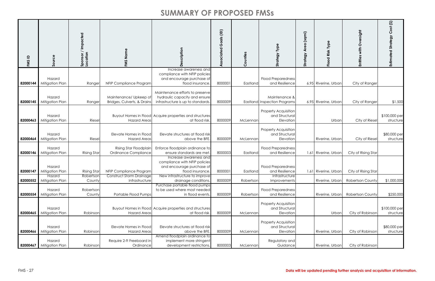| FMS ID   | Source                              | Sponsor / Impacted<br>Location  | Name<br>FMS                                           | cription                                                                                                                                 | $\widehat{e}$<br>$rac{2}{5}$<br>Ŏ<br>ပ<br>ciated<br>$\circ$<br>⋖ | Counties  | <b>Strategy Type</b>                                          | (sqmi)<br>Åre<br>egy<br>Strat | Risk Type<br>$\overline{Q}$<br>운 | Entities with Oversight | $\widehat{\mathfrak{S}}$<br>Estimated Strategy Cost |
|----------|-------------------------------------|---------------------------------|-------------------------------------------------------|------------------------------------------------------------------------------------------------------------------------------------------|------------------------------------------------------------------|-----------|---------------------------------------------------------------|-------------------------------|----------------------------------|-------------------------|-----------------------------------------------------|
| 82000144 | Hazard<br>Mitigation Plan           | Ranger                          | NFIP Compliance Program                               | Increase awareness and<br>compliance with NFIP policies<br>and encourage purchase of<br>flood insurance.                                 | 8000001                                                          | Eastland  | <b>Flood Preparedness</b><br>and Resilience                   |                               | 6.95 Riverine, Urban             | City of Ranger          |                                                     |
| 82000145 | Hazard<br>Mitigation Plan           | Ranger                          | Maintenance/ Upkeep of<br>Bridges, Culverts, & Drains | Maintenance efforts to preserve<br>hydraulic capacity and ensure<br>infrastructure is up to standards.                                   | 8000009                                                          |           | Maintenance &<br>Eastland Inspection Programs                 |                               | 6.95 Riverine, Urban             | City of Ranger          | \$1,500                                             |
| 82000463 | Hazard<br>Mitigation Plan           | Riesel                          | Hazard Areas                                          | Buyout Homes in Flood Acquire properties and structures<br>at flood risk.                                                                | 8000009                                                          | McLennan  | <b>Property Acquisition</b><br>and Structural<br>Elevation    |                               | Urban                            | City of Riesel          | \$100,000 per<br>structure                          |
| 82000464 | Hazard<br>Mitigation Plan           | Riesel                          | Elevate Homes in Flood<br><b>Hazard Areas</b>         | Elevate structures at flood risk<br>above the BFE.                                                                                       | 8000009                                                          | McLennan  | <b>Property Acquisition</b><br>and Structural<br>Elevation    |                               | Riverine, Urban                  | City of Riesel          | \$80,000 per<br>structure                           |
| 82000146 | Hazard<br>Mitigation Plan           | <b>Rising Star</b>              | Rising Star Floodplain<br>Ordinance Compliance        | Enforce floodplain ordinance to<br>ensure standards are met                                                                              | 8000003                                                          | Eastland  | <b>Flood Preparedness</b><br>and Resilience                   |                               | 1.61 Riverine, Urban             | City of Rising Star     |                                                     |
| 82000147 | Hazard<br>Mitigation Plan<br>Hazard | <b>Rising Star</b><br>Robertson | NFIP Compliance Program<br>Construct Storm Drainage   | Increase awareness and<br>compliance with NFIP policies<br>and encourage purchase of<br>flood insurance<br>New infrastructure to improve | 8000001                                                          | Eastland  | <b>Flood Preparedness</b><br>and Resilience<br>Infrastructure |                               | 1.61 Riverine, Urbar             | City of Rising Star     |                                                     |
| 82000552 | Mitigation Plan<br>Hazard           | County<br>Robertson             | Infrastructure                                        | drainage conditions.<br>Purchase portable flood pumps<br>to be used where most needed                                                    | 8000009                                                          | Robertson | Improvements<br><b>Flood Preparedness</b>                     |                               | Riverine, Urbar                  | <b>Robertson County</b> | \$1,000,000                                         |
| 82000554 | Mitigation Plan                     | County                          | Portable Flood Pumps                                  | in flood events.                                                                                                                         | 8000009                                                          | Robertson | and Resilience                                                |                               | Riverine, Urbar                  | <b>Robertson County</b> | \$250,000                                           |
| 82000465 | Hazard<br>Mitigation Plan           | Robinson                        | Hazard Areas                                          | Buyout Homes in Flood Acquire properties and structures<br>at flood risk.                                                                | 8000009                                                          | McLennan  | <b>Property Acquisition</b><br>and Structural<br>Elevation    |                               | Urban                            | City of Robinson        | \$100,000 per<br>structure                          |
| 82000466 | Hazard<br>Mitigation Plan           | Robinson                        | Elevate Homes in Flood<br>Hazard Areas                | Elevate structures at flood risk<br>above the BFE.                                                                                       | 8000009                                                          | McLennan  | <b>Property Acquisition</b><br>and Structural<br>Elevation    |                               | Riverine, Urbar                  | City of Robinson        | \$80,000 per<br>structure                           |
| 82000467 | Hazard<br>Mitigation Plan           | Robinson                        | Require 2-ft Freeboard in<br>Ordinance                | Amend floodplain ordinance to<br>implement more stringent<br>development restrictions.                                                   | 8000003                                                          | McLennan  | Regulatory and<br>Guidance                                    |                               | Riverine, Urban                  | City of Robinson        |                                                     |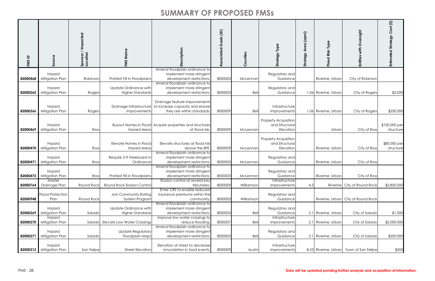| $\mathbf{a}$<br>FMS | Source                               | / Impacted<br>Sponsor /<br>Location | Name<br>FMS                               | cription                                                                                                               | $\widehat{e}$<br>$rac{1}{9}$<br>$\circ$<br>ပ<br>ciated<br>O<br>⋖ | Counties   | <b>Strategy Type</b>                                       | (sqmi)<br><b>Are</b><br>egy<br>Strat | Risk Type<br>$\overline{c}$<br>운 | Oversight<br>Entities with  | $\mathfrak{S}$<br><b>Estimated Strategy Cost</b> |
|---------------------|--------------------------------------|-------------------------------------|-------------------------------------------|------------------------------------------------------------------------------------------------------------------------|------------------------------------------------------------------|------------|------------------------------------------------------------|--------------------------------------|----------------------------------|-----------------------------|--------------------------------------------------|
| 82000468            | Hazard<br>Mitigation Plan            | Robinson                            | Prohibit Fill in Floodplains              | Amend floodplain ordinance to<br>implement more stringent<br>development restrictions.                                 | 8000003                                                          | McLennan   | Regulatory and<br>Guidance                                 |                                      | Riverine, Urbar                  | City of Robinson            |                                                  |
| 82000265            | Hazard<br>Mitigation Plan            | Rogers                              | Update Ordinance with<br>Higher Standards | Amend floodplain ordinance to<br>implement more stringent<br>development restrictions.                                 | 8000003                                                          | Bell       | Regulatory and<br>Guidance                                 |                                      | 1.06 Riverine, Urban             | City of Rogers              | \$2,000                                          |
| 82000266            | Hazard<br>Mitigation Plan            | Rogers                              | Improvements                              | Drainage feature improvements<br>Drainage Infrastructure to increase capacity and ensure<br>they are within standards. | 8000009                                                          | Bell       | Infrastructure<br>Improvements                             |                                      | 1.06 Riverine, Urban             | City of Rogers              | \$250,000                                        |
| 82000469            | Hazard<br>Mitigation Plan            | Ross                                | Hazard Areas                              | Buyout Homes in Flood Acquire properties and structures<br>at flood risk.                                              | 8000009                                                          | McLennan   | <b>Property Acquisition</b><br>and Structural<br>Elevation |                                      | Urban                            | City of Ross                | \$100,000 per<br>structure                       |
| 82000470            | Hazard<br>Mitigation Plan            | Ross                                | Elevate Homes in Flood<br>Hazard Areas    | Elevate structures at flood risk<br>above the BFE.                                                                     | 8000009                                                          | McLennan   | <b>Property Acquisition</b><br>and Structural<br>Elevation |                                      | Riverine, Urban                  | City of Ross                | \$80,000 per<br>structure                        |
| 82000471            | Hazard<br>Mitigation Plan            | Ross                                | Require 2-ft Freeboard in<br>Ordinance    | Amend floodplain ordinance to<br>implement more stringent<br>development restrictions.                                 | 8000003                                                          | McLennan   | Regulatory and<br>Guidance                                 |                                      | Riverine, Urban                  | City of Ross                |                                                  |
|                     | Hazard<br>82000472   Mitigation Plan | Ross                                | Prohibit Fill in Floodplains              | Amend floodplain ordinance to<br>implement more stringent<br>development restrictions.                                 | 8000003                                                          | McLennan   | Regulatory and<br>Guidance                                 |                                      | Riverine, Urban                  | City of Ross                |                                                  |
| 82000764            | Master<br>Drainage Plan              | Round Rock                          | Round Rock Erosion Control                | Erosion control at several key<br>tributaries.<br>Enter CRS to enable reduced                                          | 8000009                                                          | Williamson | Infrastructure<br>Improvements                             | 4.3                                  |                                  | Riverine City of Round Rock | \$2,800,000                                      |
| 82000948            | <b>Flood Protection</b><br>Plan      | Round Rock                          | Join Community Rating<br>System Program   | insurance premiums within the<br>community.<br>Amend floodplain ordinance to                                           | 8000003                                                          | Williamson | Regulatory and<br>Guidance                                 |                                      | Riverine, Urban                  | City of Round Rock          |                                                  |
| 82000269            | Hazard<br>Mitigation Plan<br>Hazard  | Salado                              | Update Ordinance with<br>Higher Standards | implement more stringent<br>development restrictions.<br>Improve low water crossings to                                | 8000003                                                          | Bell       | Regulatory and<br>Guidance<br>Infrastructure               |                                      | 2.1 Riverine, Urban              | City of Salado              | \$1,000                                          |
| 82000270            | Mitigation Plan                      | Salado                              | Elevate Low Water Crossings               | reduce flooding.                                                                                                       | 8000007                                                          | Bell       | Improvements                                               |                                      | 2.1 Riverine, Urban              | City of Salado              | \$5,000,000                                      |
| 82000271            | Hazard<br>Mitigation Plan            | Salado                              | Update Regulatory<br>Floodplain Maps      | Amend floodplain ordinance to<br>implement more stringent<br>development restrictions.                                 | 8000003                                                          | Bell       | Regulatory and<br>Guidance                                 |                                      | 2.1 Riverine, Urban              | City of Salado              | \$200,000                                        |
|                     | Hazard<br>82000212 Mitigation Plan   | San Felipe                          | Street Elevation                          | Elevation of street to decrease<br>innundation in food events.                                                         | 8000009                                                          | Austin     | Infrastructure<br>Improvements                             |                                      | 8.53 Riverine, Urban             | Town of San Felipe          | \$500                                            |

#### FMS - 28 **Data will be updated pending further analysis and acquisition of information.**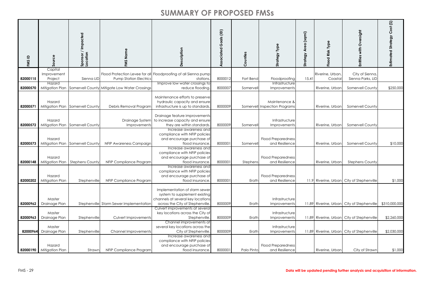| FMS ID   | Source                    | Sponsor / Impacted<br>Location   | FMS Name                                      | scription<br>$\Omega$                                                                                                                   | Goals (ID)<br>Associated | Counties   | Type<br>egy<br>Strat                           | (sqmi)<br>Area<br>Strategy | <b>DVD</b><br>Risk<br>$\overline{8}$<br>은 | ersight<br>O<br>with<br>Entiti             | $\overline{\mathfrak{S}}$<br>$\mathbf C$<br><b>AGe</b><br>Estimat |
|----------|---------------------------|----------------------------------|-----------------------------------------------|-----------------------------------------------------------------------------------------------------------------------------------------|--------------------------|------------|------------------------------------------------|----------------------------|-------------------------------------------|--------------------------------------------|-------------------------------------------------------------------|
|          | Capital<br>Improvement    |                                  |                                               | Flood Protection Levee for all Floodproofing of all Sienna pump                                                                         |                          |            |                                                |                            | Riverine, Urban,                          | City of Sienna,                            |                                                                   |
| 82000115 | Project                   | Sienna LID                       | <b>Pump Station Electrics</b>                 | stations.                                                                                                                               | 8000012                  | Fort Bend  | Floodproofing                                  | 15.41                      | Coastal                                   | Sienna Parks, LID                          |                                                                   |
| 82000570 | Hazard<br>Mitigation Plan |                                  | Somervell County Mitigate Low Water Crossings | Improve low water crossings to<br>reduce flooding.                                                                                      | 8000007                  | Somervell  | Infrastructure<br>Improvements                 |                            | Riverine, Urban                           | Somervell County                           | \$250,000                                                         |
| 82000571 | Hazard<br>Mitigation Plan | Somervell County                 | Debris Removal Program                        | Maintenance efforts to preserve<br>hydraulic capacity and ensure<br>infrastructure is up to standards.                                  | 8000009                  |            | Maintenance &<br>Somervell Inspection Programs |                            | Riverine, Urban                           | Somervell County                           |                                                                   |
| 82000572 | Hazard                    | Mitigation Plan Somervell County | Drainage System<br>Improvements               | Drainage feature improvements<br>to increase capacity and ensure<br>they are within standards.<br>Increase awareness and                | 8000009                  | Somervell  | Infrastructure<br>Improvements                 |                            | Riverine, Urban                           | <b>Somervell County</b>                    |                                                                   |
| 82000573 | Hazard                    | Mitigation Plan Somervell County | NFIP Awareness Campaign                       | compliance with NFIP policies<br>and encourage purchase of<br>flood insurance.                                                          | 8000001                  | Somervell  | <b>Flood Preparedness</b><br>and Resilience    |                            | Riverine, Urban                           | Somervell County                           | \$10,000                                                          |
| 82000148 | Hazard<br>Mitigation Plan | <b>Stephens County</b>           | NFIP Compliance Program                       | Increase awareness and<br>compliance with NFIP policies<br>and encourage purchase of<br>flood insurance.                                | 8000001                  | Stephens   | <b>Flood Preparedness</b><br>and Resilience    |                            | Riverine, Urban                           | <b>Stephens County</b>                     |                                                                   |
| 82000202 | Hazard<br>Mitigation Plan | Stephenville                     | NFIP Compliance Program                       | Increase awareness and<br>compliance with NFIP policies<br>and encourage purchase of<br>flood insurance                                 | 8000001                  | Erath      | <b>Flood Preparedness</b><br>and Resilience    |                            | 11.9 Riverine, Urban                      | City of Stephenville                       | \$1,000                                                           |
| 82000962 | Master<br>Drainage Plan   |                                  | Stephenville Storm Sewer Implementation       | Implementation of storm sewer<br>system to supplement existing<br>channels at several key locations<br>across the City of Stephenville. | 8000009                  | Erath      | Infrastructure<br>Improvements                 |                            |                                           | 11.89 Riverine, Urban City of Stephenville | \$310,000,000                                                     |
| 82000963 | Master<br>Drainage Plan   | Stephenville                     | <b>Culvert Improvements</b>                   | Culvert improvements at several<br>key locations across the City of<br>Stephenville.                                                    | 8000009                  | Erath      | Infrastructure<br>Improvements                 |                            |                                           | 11.89 Riverine, Urban City of Stephenville | \$2,260,000                                                       |
| 82000964 | Master<br>Drainage Plan   | Stephenville                     | <b>Channel Improvements</b>                   | Channel improvements at<br>several key locations across the<br>City of Stephenville.                                                    | 8000009                  | Erath      | Infrastructure<br>Improvements                 |                            |                                           | 11.89 Riverine, Urban City of Stephenville | \$2,030,000                                                       |
| 82000190 | Hazard<br>Mitigation Plan | Strawn                           | NFIP Compliance Program                       | Increase awareness and<br>compliance with NFIP policies<br>and encourage purchase of<br>flood insurance.                                | 8000001                  | Palo Pinto | <b>Flood Preparedness</b><br>and Resilience    |                            | Riverine, Urban                           | City of Strawn                             | \$1,000                                                           |

#### FMS - 29 **Data will be updated pending further analysis and acquisition of information.**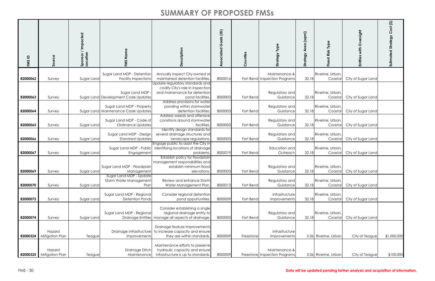| FMS ID   | Source                    | Sponsor / Impacted<br>Location | FMS Name                                                         | Description                                                                                                                                             | Goals (ID)<br>Associated | Counties  | Type<br>egy<br>Strate                          | (sqmi)<br>Area<br>Strategy | <b>Flood Risk Type</b>      | Oversight<br>with<br><b>Entities</b> | Estimated Strategy Cost (\$) |
|----------|---------------------------|--------------------------------|------------------------------------------------------------------|---------------------------------------------------------------------------------------------------------------------------------------------------------|--------------------------|-----------|------------------------------------------------|----------------------------|-----------------------------|--------------------------------------|------------------------------|
| 82000062 | Survey                    | Sugar Land                     | Sugar Land MDP - Detention<br><b>Facility Inspections</b>        | Annually inspect City-owned or<br>maintained detention facilities.                                                                                      | 8000016                  |           | Maintenance &<br>Fort Bend Inspection Programs | 32.18                      | Riverine, Urban<br>Coastal  | City of Sugar Land                   |                              |
| 82000063 | Survey                    |                                | Sugar Land MDP<br>Sugar Land Development Code Updates            | Update regulatory standards and<br>codify City's role in inspection<br>and mainenance for detention<br>pond facilities.<br>Address provisions for water | 8000003                  | Fort Bend | Regulatory and<br>Guidance                     | 32.18                      | Riverine, Urban,<br>Coastal | City of Sugar Land                   |                              |
| 82000064 | Survey                    |                                | Sugar Land MDP - Property<br>Sugar Land Maintenance Code Updates | ponding within stormwater<br>detention facilities.                                                                                                      | 8000003                  | Fort Bend | Regulatory and<br>Guidance                     | 32.18                      | Riverine, Urban,<br>Coastal | City of Sugar Land                   |                              |
| 82000065 | Survey                    | Sugar Land                     | Sugar Land MDP - Code of<br><b>Ordinance Updates</b>             | Address weeds and offensive<br>consitions around stormwater<br>facilities                                                                               | 8000003                  | Fort Bend | Regulatory and<br>Guidance                     | 32.18                      | Riverine, Urban,<br>Coastal | City of Sugar Land                   |                              |
| 82000066 | Survey                    | Sugar Land                     | Sugar Land MDP - Design<br>Standard Updates                      | Identify design standards for<br>several drainage structures and<br>landscape regulations.                                                              | 8000003                  | Fort Bend | Regulatory and<br>Guidance                     | 32.18                      | Riverine, Urban,<br>Coastal | City of Sugar Land                   |                              |
| 82000067 | Survey                    | Sugar Land                     | Sugar Land MDP - Public<br>Engagement                            | Engage public to assist the City in<br>identifying locations of drainage<br>problems.                                                                   | 8000019                  | Fort Bend | Education and<br>Outreach                      | 32.18                      | Riverine, Urban,<br>Coastal | City of Sugar Land                   |                              |
| 82000069 | Survey                    | Sugar Land                     | Sugar Land MDP - Floodplain<br>Management                        | Establish policy for floodplain<br>management responsibilities and<br>establish minimum flood<br>elevations.                                            | 8000003                  | Fort Bend | Regulatory and<br>Guidance                     | 32.18                      | Riverine, Urban,<br>Coastal | City of Sugar Land                   |                              |
| 82000070 | Survey                    | Sugar Land                     | Sugar Land MDP - Update<br>Storm Water Management<br>Plan        | Review and enhance Storm<br>Water Management Plan                                                                                                       | 8000013                  | Fort Bend | Regulatory and<br>Guidance                     | 32.18                      | Riverine, Urban,<br>Coastal | City of Sugar Land                   |                              |
| 82000072 | Survey                    | Sugar Land                     | Sugar Land MDP - Regional<br><b>Detention Ponds</b>              | Consider regional detention<br>pond oppurtunities.                                                                                                      | 8000009                  | Fort Bend | Infrastructure<br>Improvements                 | 32.18                      | Riverine, Urban,<br>Coastal | City of Sugar Land                   |                              |
| 82000074 | Survey                    | Sugar Land                     | Sugar Land MDP - Regional<br>Drainage Entities                   | Consider establishing a single<br>regional drainage entity to<br>manage all aspects of drainage.                                                        | 8000003                  | Fort Bend | Regulatory and<br>Guidance                     | 32.18                      | Riverine, Urban,<br>Coastal | City of Sugar Land                   |                              |
| 82000324 | Hazard<br>Mitigation Plan | Teague                         | Improvements                                                     | Drainage feature improvements<br>Drainage Infrastructure to increase capacity and ensure<br>they are within standards.                                  | 8000009                  | Freestone | Infrastructure<br>Improvements                 |                            | 3.36 Riverine, Urban        | City of Teague                       | \$1,000,000                  |
| 82000325 | Hazard<br>Mitigation Plan | Teague                         | Drainage Ditch<br>Maintenance                                    | Maintenance efforts to preserve<br>hydraulic capacity and ensure<br>infrastructure is up to standards.                                                  | 8000009                  |           | Maintenance &<br>Freestone Inspection Programs |                            | 3.36 Riverine, Urban        | City of Teague                       | \$100,000                    |

#### FMS - 30 **Data will be updated pending further analysis and acquisition of information.**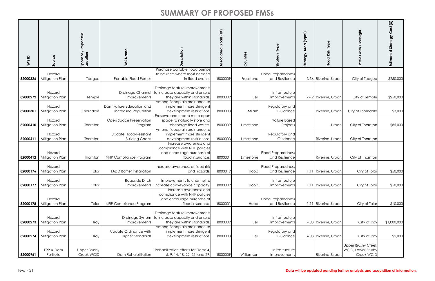| FMS ID   | Source                    | Sponsor / Impacted<br>Location | FMS Name                                                | escription                                                                                               | Goals (ID)<br>Associated | ounties<br>Õ | Strategy Type                               | (sqmi)<br>Area<br>Strategy | ĎУР<br>Risk<br>Flood | Oversight<br>with<br>Entities                          | $\mathfrak{S}$<br>Cost<br>Estimated Strategy |
|----------|---------------------------|--------------------------------|---------------------------------------------------------|----------------------------------------------------------------------------------------------------------|--------------------------|--------------|---------------------------------------------|----------------------------|----------------------|--------------------------------------------------------|----------------------------------------------|
| 82000326 | Hazard<br>Mitigation Plan | Teague                         | Portable Flood Pumps                                    | Purchase portable flood pumps<br>to be used where most needed<br>in flood events.                        | 8000009                  | Freestone    | <b>Flood Preparedness</b><br>and Resilience |                            | 3.36 Riverine, Urban | City of Teague                                         | \$250,000                                    |
| 82000272 | Hazard<br>Mitigation Plan | Temple                         | Drainage Channel<br>Improvements                        | Drainage feature improvements<br>to increase capacity and ensure<br>they are within standards.           | 8000009                  | Bell         | Infrastructure<br>Improvements              |                            | 74.2 Riverine, Urban | City of Temple                                         | \$250,000                                    |
| 82000301 | Hazard<br>Mitigation Plan | <b>Thorndale</b>               | Dam Failure Education and<br>Increased Regualtion       | Amend floodplain ordinance to<br>implement more stringent<br>development restrictions.                   | 8000003                  | Milam        | Regulatory and<br>Guidance                  |                            | Riverine, Urban      | City of Thorndale                                      | \$3,000                                      |
| 82000410 | Hazard<br>Mitigation Plan | Thornton                       | Open Space Preservation<br>Program                      | Preserve and create more open<br>space to naturally store and<br>discharge flood waters.                 | 8000009                  | Limestone    | Nature Based<br>Projects                    |                            | Urban                | City of Thornton                                       | \$85,000                                     |
| 82000411 | Hazard<br>Mitigation Plan | Thornton                       | Update Flood-Resistant<br><b>Building Codes</b>         | Amend floodplain ordinance to<br>implement more stringent<br>development restrictions.                   | 8000003                  | Limestone    | Regulatory and<br>Guidance                  |                            | Riverine, Urban      | City of Thornton                                       |                                              |
| 82000412 | Hazard<br>Mitigation Plan | Thornton                       | NFIP Compliance Program                                 | Increase awareness and<br>compliance with NFIP policies<br>and encourage purchase of<br>flood insurance. | 8000001                  | Limestone    | <b>Flood Preparedness</b><br>and Resilience |                            | Riverine, Urban      | City of Thornton                                       |                                              |
| 82000176 | Hazard<br>Mitigation Plan | Tolar                          | <b>TADD Barrier Installation</b>                        | Increase awareness of flood risk<br>and hazards.                                                         | 8000019                  | Hood         | <b>Flood Preparedness</b><br>and Resilience |                            | 1.11 Riverine, Urban | City of Tolar                                          | \$50,000                                     |
| 82000177 | Hazard<br>Mitigation Plan | Tolar                          | Roadside Ditch<br>Improvements                          | Improvements to channel to<br>increase conveyance capacity.                                              | 8000009                  | Hood         | Infrastructure<br>Improvements              |                            | 1.11 Riverine, Urban | City of Tolar                                          | \$50,000                                     |
| 82000178 | Hazard<br>Mitigation Plan | Tolar                          | NFIP Compliance Program                                 | Increase awareness and<br>compliance with NFIP policies<br>and encourage purchase of<br>flood insurance. | 8000001                  | Hood         | <b>Flood Preparedness</b><br>and Resilience |                            | 1.11 Riverine, Urban | City of Tolar                                          | \$10,000                                     |
| 82000273 | Hazard<br>Mitigation Plan | Troy                           | Drainage System<br>Improvements                         | Drainage feature improvements<br>to increase capacity and ensure<br>they are within standards.           | 8000009                  | Bell         | Infrastructure<br>Improvements              |                            | 4.08 Riverine, Urban | City of Troy                                           | \$1,000,000                                  |
| 82000274 | Hazard<br>Mitigation Plan | Troy                           | <b>Update Ordinance with</b><br><b>Higher Standards</b> | Amend floodplain ordinance to<br>implement more stringent<br>development restrictions.                   | 8000003                  | Bell         | Regulatory and<br>Guidance                  |                            | 4.08 Riverine, Urban | City of Troy                                           | \$5,000                                      |
| 82000961 | FPP & Dam<br>Portfolio    | Upper Brushy<br>Creek WCID     | Dam Rehaibilitation                                     | Rehabilitation efforts for Dams 4,<br>5, 9, 14, 18, 22, 25, and 29.                                      | 8000009                  | Williamson   | Infrastructure<br>Improvements              |                            | Riverine, Urban      | Upper Brushy Creek<br>WCID, Lower Brushy<br>Creek WCID |                                              |

### FMS - 31 **Data will be updated pending further analysis and acquisition of information.**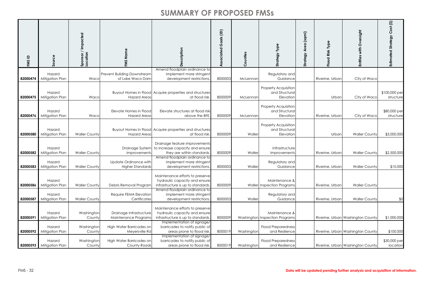| $\mathbf{a}$<br>FMS | Source                             | Sponsor / Impacted<br>Location | Name<br>FMS                                      | cription                                                                                                                             | $\widehat{e}$<br>oals<br>ပ<br>ciated<br>$\circ$<br>◀ | Counties   | <b>Strategy Type</b>                                       | (sqmi)<br>Åre<br>egy<br><b>Strat</b> | Risk Type<br>$\overline{8}$<br>운 | Oversight<br>Entities with        | $\widehat{\mathfrak{S}}$<br>Estimated Strategy Cost |
|---------------------|------------------------------------|--------------------------------|--------------------------------------------------|--------------------------------------------------------------------------------------------------------------------------------------|------------------------------------------------------|------------|------------------------------------------------------------|--------------------------------------|----------------------------------|-----------------------------------|-----------------------------------------------------|
|                     | Hazard                             |                                | <b>Prevent Building Downstream</b>               | Amend floodplain ordinance to<br>implement more stringent                                                                            |                                                      |            | Regulatory and                                             |                                      |                                  |                                   |                                                     |
| 82000474            | Mitigation Plan                    | Waco                           | of Lake Waco Dam                                 | development restrictions.                                                                                                            | 8000003                                              | McLennan   | Guidance                                                   |                                      | Riverine, Urban                  | City of Waco                      |                                                     |
| 82000475            | Hazard<br>Mitigation Plan          | Waco                           | Hazard Areas                                     | Buyout Homes in Flood Acquire properties and structures<br>at flood risk.                                                            | 8000009                                              | McLennan   | <b>Property Acquisition</b><br>and Structural<br>Elevation |                                      | Urban                            | City of Waco                      | \$100,000 per<br>structure                          |
| 82000476            | Hazard<br>Mitigation Plan          | Waco                           | Elevate Homes in Flood<br>Hazard Areas           | Elevate structures at flood risk<br>above the BFE.                                                                                   | 8000009                                              | McLennan   | <b>Property Acquisition</b><br>and Structural<br>Elevation |                                      | Riverine, Urban                  | City of Waco                      | \$80,000 per<br>structure                           |
| 82000580            | Hazard<br>Mitigation Plan          | <b>Waller County</b>           | Hazard Areas                                     | Buyout Homes in Flood Acquire properties and structures<br>at flood risk.                                                            | 8000009                                              | Waller     | <b>Property Acquisition</b><br>and Structural<br>Elevation |                                      | Urban                            | <b>Waller County</b>              | \$3,000,000                                         |
| 82000582            | Hazard<br>Mitigation Plan          | <b>Waller County</b>           | Drainage System<br>Improvements                  | Drainage feature improvements<br>to increase capacity and ensure<br>they are within standards.                                       | 8000009                                              | Waller     | Infrastructure<br>Improvements                             |                                      | Riverine, Urban                  | <b>Waller County</b>              | \$2,500,000                                         |
| 82000583            | Hazard<br>Mitigation Plan          | <b>Waller County</b>           | Update Ordinance with<br><b>Higher Standards</b> | Amend floodplain ordinance to<br>implement more stringent<br>development restrictions.                                               | 8000003                                              | Waller     | Regulatory and<br>Guidance                                 |                                      | Riverine, Urban                  | <b>Waller County</b>              | \$10,000                                            |
| 82000586            | Hazard<br>Mitigation Plan          | <b>Waller County</b>           | Debris Removal Program                           | Maintenance efforts to preserve<br>hydraulic capacity and ensure<br>infrastructure is up to standards.                               | 8000009                                              |            | Maintenance &<br>Waller Inspection Programs                |                                      | Riverine, Urban                  | <b>Waller County</b>              |                                                     |
| 82000587            | Hazard<br>Mitigation Plan          | <b>Waller County</b>           | Require FEMA Elevation<br>Certificates           | Amend floodplain ordinance to<br>implement more stringent<br>development restrictions.                                               | 8000003                                              | Waller     | Regulatory and<br>Guidance                                 |                                      | Riverine, Urban                  | <b>Waller County</b>              | \$0                                                 |
| 82000591            | Hazard<br>Mitigation Plan          | Washington<br>County!          | Drainage Infrastructure<br>Maintenance Programs  | Maintenance efforts to preserve<br>hydraulic capacity and ensure<br>infrastructure is up to standards.<br>Implementation of signage/ | 8000009                                              |            | Maintenance &<br>Washington Inspection Programs            |                                      |                                  | Riverine, Urban Washington County | \$1,000,000                                         |
|                     | Hazard                             | Washington                     | High Water Barricades on                         | barricades to notify public of                                                                                                       |                                                      |            | <b>Flood Preparedness</b>                                  |                                      |                                  |                                   |                                                     |
| 82000592            | Mitigation Plan                    | County                         | Meyersville Rd                                   | areas prone to flood risk.                                                                                                           | 8000019                                              | Washington | and Resilience                                             |                                      |                                  | Riverine, Urban Washington County | \$100,000                                           |
|                     | Hazard<br>82000593 Mitigation Plan | Washington<br>County           | High Water Barricades on<br>County Roads         | Implementation of signage/<br>barricades to notify public of<br>areas prone to flood risk.                                           | 8000019                                              | Washington | <b>Flood Preparedness</b><br>and Resilience                |                                      |                                  | Riverine, Urban Washington County | \$30,000 per<br>location                            |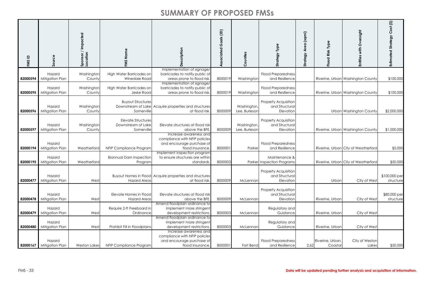| FMS ID   | Source                    | Sponsor / Impacted<br>Location | FMS Name                                                      |                                                                                                          | Goals (ID)<br>Associated | Counties                     | ĪУP<br>egy<br>流                                            | (sqmi)<br>Area<br>Strategy | Type<br>Risk<br>$\overline{8}$<br>$\frac{6}{5}$ | ersight<br>O<br>Entiti              | $\widehat{\mathfrak{G}}$<br>$\mathbf C$<br>Esti |
|----------|---------------------------|--------------------------------|---------------------------------------------------------------|----------------------------------------------------------------------------------------------------------|--------------------------|------------------------------|------------------------------------------------------------|----------------------------|-------------------------------------------------|-------------------------------------|-------------------------------------------------|
| 82000594 | Hazard<br>Mitigation Plan | Washington<br>County           | High Water Barricades on<br>Winedale Road                     | Implementation of signage/<br>barricades to notify public of<br>areas prone to flood risk.               | 8000019                  | Washington                   | <b>Flood Preparedness</b><br>and Resilience                |                            |                                                 | Riverine, Urban Washington County   | \$100,000                                       |
| 82000595 | Hazard<br>Mitigation Plan | Washington<br>County           | High Water Barricades on<br>Jeske Road                        | Implementation of signage/<br>barricades to notify public of<br>areas prone to flood risk.               | 8000019                  | Washington                   | <b>Flood Preparedness</b><br>and Resilience                |                            |                                                 | Riverine, Urban Washington County   | \$100,000                                       |
| 82000596 | Hazard<br>Mitigation Plan | Washington<br>County           | <b>Buyout Structures</b><br>Somerville                        | Downstream of Lake Acquire properties and structures<br>at flood risk.                                   | 8000009                  | Washington,<br>Lee, Burleson | <b>Property Acquisition</b><br>and Structural<br>Elevation |                            |                                                 | Urban Washington County             | \$2,000,000                                     |
| 82000597 | Hazard<br>Mitigation Plan | Washington<br>County           | <b>Elevate Structures</b><br>Downstream of Lake<br>Somerville | Elevate structures at flood risk<br>above the BFE.                                                       | 8000009                  | Washington,<br>Lee, Burlesor | <b>Property Acquisition</b><br>and Structural<br>Elevation |                            |                                                 | Riverine, Urban Washington County   | \$1,000,000                                     |
| 82000194 | Hazard<br>Mitigation Plan | Weatherford                    | NFIP Compliance Program                                       | Increase awareness and<br>compliance with NFIP policies<br>and encourage purchase of<br>flood insurance. | 8000001                  | Parker                       | <b>Flood Preparedness</b><br>and Resilience                |                            |                                                 | Riverine, Urban City of Weatherford | \$5,000                                         |
| 82000195 | Hazard<br>Mitigation Plan | Weatherford                    | <b>Biannual Dam Inspection</b><br>Program                     | Implement inspection program<br>to ensure structures are within<br>standards.                            | 8000003                  |                              | Maintenance &<br>Parker Inspection Programs                |                            |                                                 | Riverine, Urban City of Weatherford | \$50,000                                        |
| 82000477 | Hazard<br>Mitigation Plan | West                           | <b>Hazard Areas</b>                                           | Buyout Homes in Flood Acquire properties and structures<br>at flood risk.                                | 8000009                  | McLennan                     | <b>Property Acquisition</b><br>and Structural<br>Elevation |                            | Urban                                           | City of West                        | \$100,000 per<br>structure                      |
| 82000478 | Hazard<br>Mitigation Plan | West                           | Elevate Homes in Flood<br><b>Hazard Areas</b>                 | Elevate structures at flood risk<br>above the BFE.                                                       | 8000009                  | McLennan                     | <b>Property Acquisition</b><br>and Structural<br>Elevation |                            | Riverine, Urban                                 | City of West                        | \$80,000 per<br>structure                       |
| 82000479 | Hazard<br>Mitigation Plan | West                           | Require 2-ft Freeboard in<br>Ordinance                        | Amend floodplain ordinance to<br>implement more stringent<br>development restrictions.                   | 8000003                  | McLennan                     | Regulatory and<br>Guidance                                 |                            | Riverine, Urban                                 | City of West                        |                                                 |
| 82000480 | Hazard<br>Mitigation Plan | West                           | Prohibit Fill in Floodplains                                  | Amend floodplain ordinance to<br>implement more stringent<br>development restrictions.                   | 8000003                  | McLennan                     | Regulatory and<br>Guidance                                 |                            | Riverine, Urban                                 | City of West                        |                                                 |
| 82000167 | Hazard<br>Mitigation Plan | <b>Weston Lakes</b>            | NFIP Compliance Program                                       | Increase awareness and<br>compliance with NFIP policies<br>and encourage purchase of<br>flood insurance. | 8000001                  | Fort Bend                    | <b>Flood Preparedness</b><br>and Resilience                | 2.62                       | Riverine, Urban,<br>Coastal                     | City of Weston<br>Lakes             | \$50,000                                        |

#### FMS - 33 **Data will be updated pending further analysis and acquisition of information.**